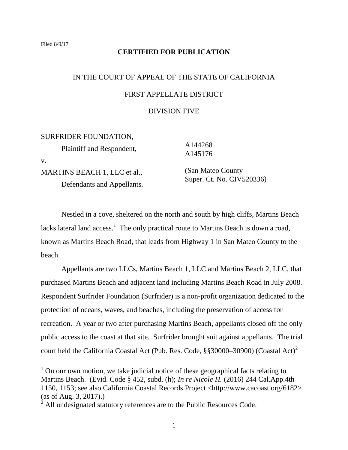#### **CERTIFIED FOR PUBLICATION**

# IN THE COURT OF APPEAL OF THE STATE OF CALIFORNIA FIRST APPELLATE DISTRICT

### DIVISION FIVE

SURFRIDER FOUNDATION, Plaintiff and Respondent,

v.

MARTINS BEACH 1, LLC et al., Defendants and Appellants.  A144268 A145176

 (San Mateo County Super. Ct. No. CIV520336)

Nestled in a cove, sheltered on the north and south by high cliffs, Martins Beach lacks lateral land access.<sup>1</sup> The only practical route to Martins Beach is down a road, known as Martins Beach Road, that leads from Highway 1 in San Mateo County to the beach.

Appellants are two LLCs, Martins Beach 1, LLC and Martins Beach 2, LLC, that purchased Martins Beach and adjacent land including Martins Beach Road in July 2008. Respondent Surfrider Foundation (Surfrider) is a non-profit organization dedicated to the protection of oceans, waves, and beaches, including the preservation of access for recreation. A year or two after purchasing Martins Beach, appellants closed off the only public access to the coast at that site. Surfrider brought suit against appellants. The trial court held the California Coastal Act (Pub. Res. Code, §§30000–30900) (Coastal Act)<sup>2</sup>

 $1$  On our own motion, we take judicial notice of these geographical facts relating to Martins Beach. (Evid. Code § 452, subd. (h); *In re Nicole H.* (2016) 244 Cal.App.4th 1150, 1153; see also California Coastal Records Project <http://www.cacoast.org/6182> (as of Aug. 3, 2017).)

 $2$  All undesignated statutory references are to the Public Resources Code.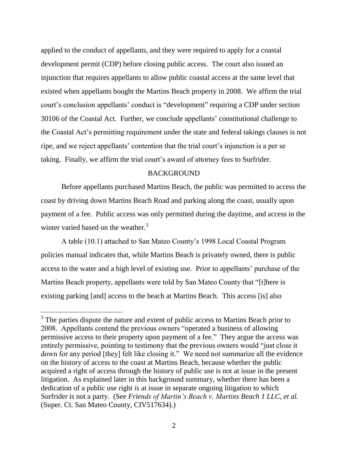applied to the conduct of appellants, and they were required to apply for a coastal development permit (CDP) before closing public access. The court also issued an injunction that requires appellants to allow public coastal access at the same level that existed when appellants bought the Martins Beach property in 2008. We affirm the trial court's conclusion appellants' conduct is "development" requiring a CDP under section 30106 of the Coastal Act. Further, we conclude appellants' constitutional challenge to the Coastal Act's permitting requirement under the state and federal takings clauses is not ripe, and we reject appellants' contention that the trial court's injunction is a per se taking. Finally, we affirm the trial court's award of attorney fees to Surfrider.

#### **BACKGROUND**

Before appellants purchased Martins Beach, the public was permitted to access the coast by driving down Martins Beach Road and parking along the coast, usually upon payment of a fee. Public access was only permitted during the daytime, and access in the winter varied based on the weather.<sup>3</sup>

A table (10.1) attached to San Mateo County's 1998 Local Coastal Program policies manual indicates that, while Martins Beach is privately owned, there is public access to the water and a high level of existing use. Prior to appellants' purchase of the Martins Beach property, appellants were told by San Mateo County that "[t]here is existing parking [and] access to the beach at Martins Beach. This access [is] also

 $\overline{a}$ 

 $3$  The parties dispute the nature and extent of public access to Martins Beach prior to 2008. Appellants contend the previous owners "operated a business of allowing permissive access to their property upon payment of a fee." They argue the access was entirely permissive, pointing to testimony that the previous owners would "just close it down for any period [they] felt like closing it." We need not summarize all the evidence on the history of access to the coast at Martins Beach, because whether the public acquired a right of access through the history of public use is not at issue in the present litigation. As explained later in this background summary, whether there has been a dedication of a public use right *is* at issue in separate ongoing litigation to which Surfrider is not a party. (See *Friends of Martin's Beach v. Martins Beach 1 LLC, et al.* (Super. Ct. San Mateo County, CIV517634).)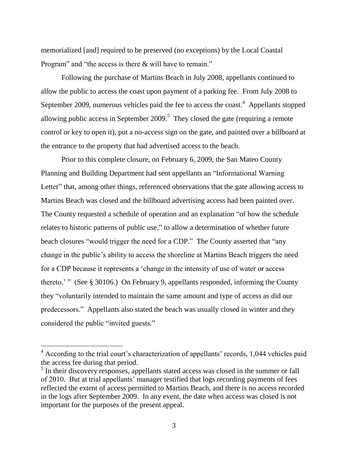memorialized [and] required to be preserved (no exceptions) by the Local Coastal Program" and "the access is there & will have to remain."

Following the purchase of Martins Beach in July 2008, appellants continued to allow the public to access the coast upon payment of a parking fee. From July 2008 to September 2009, numerous vehicles paid the fee to access the coast.<sup>4</sup> Appellants stopped allowing public access in September 2009.<sup>5</sup> They closed the gate (requiring a remote control or key to open it), put a no-access sign on the gate, and painted over a billboard at the entrance to the property that had advertised access to the beach.

Prior to this complete closure, on February 6, 2009, the San Mateo County Planning and Building Department had sent appellants an "Informational Warning Letter" that, among other things, referenced observations that the gate allowing access to Martins Beach was closed and the billboard advertising access had been painted over. The County requested a schedule of operation and an explanation "of how the schedule relates to historic patterns of public use," to allow a determination of whether future beach closures "would trigger the need for a CDP." The County asserted that "any change in the public's ability to access the shoreline at Martins Beach triggers the need for a CDP because it represents a 'change in the intensity of use of water or access thereto.' " (See § 30106.) On February 9, appellants responded, informing the County they "voluntarily intended to maintain the same amount and type of access as did our predecessors.‖ Appellants also stated the beach was usually closed in winter and they considered the public "invited guests."

 $4$  According to the trial court's characterization of appellants' records, 1,044 vehicles paid the access fee during that period.

<sup>&</sup>lt;sup>5</sup> In their discovery responses, appellants stated access was closed in the summer or fall of 2010. But at trial appellants' manager testified that logs recording payments of fees reflected the extent of access permitted to Martins Beach, and there is no access recorded in the logs after September 2009. In any event, the date when access was closed is not important for the purposes of the present appeal.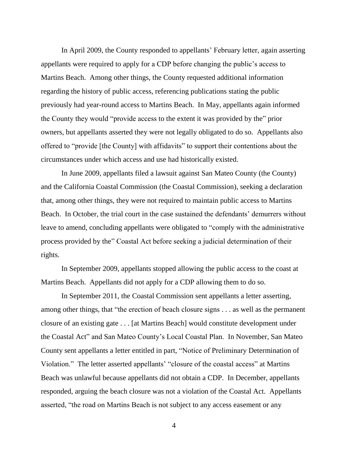In April 2009, the County responded to appellants' February letter, again asserting appellants were required to apply for a CDP before changing the public's access to Martins Beach. Among other things, the County requested additional information regarding the history of public access, referencing publications stating the public previously had year-round access to Martins Beach. In May, appellants again informed the County they would "provide access to the extent it was provided by the" prior owners, but appellants asserted they were not legally obligated to do so. Appellants also offered to "provide [the County] with affidavits" to support their contentions about the circumstances under which access and use had historically existed.

In June 2009, appellants filed a lawsuit against San Mateo County (the County) and the California Coastal Commission (the Coastal Commission), seeking a declaration that, among other things, they were not required to maintain public access to Martins Beach. In October, the trial court in the case sustained the defendants' demurrers without leave to amend, concluding appellants were obligated to "comply with the administrative process provided by the" Coastal Act before seeking a judicial determination of their rights.

In September 2009, appellants stopped allowing the public access to the coast at Martins Beach. Appellants did not apply for a CDP allowing them to do so.

In September 2011, the Coastal Commission sent appellants a letter asserting, among other things, that "the erection of beach closure signs  $\dots$  as well as the permanent closure of an existing gate . . . [at Martins Beach] would constitute development under the Coastal Act" and San Mateo County's Local Coastal Plan. In November, San Mateo County sent appellants a letter entitled in part, "Notice of Preliminary Determination of Violation." The letter asserted appellants' "closure of the coastal access" at Martins Beach was unlawful because appellants did not obtain a CDP. In December, appellants responded, arguing the beach closure was not a violation of the Coastal Act. Appellants asserted, "the road on Martins Beach is not subject to any access easement or any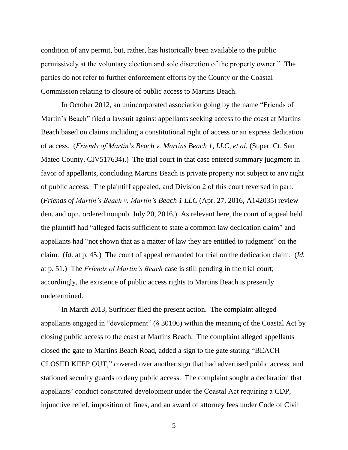condition of any permit, but, rather, has historically been available to the public permissively at the voluntary election and sole discretion of the property owner." The parties do not refer to further enforcement efforts by the County or the Coastal Commission relating to closure of public access to Martins Beach.

In October 2012, an unincorporated association going by the name "Friends of Martin's Beach" filed a lawsuit against appellants seeking access to the coast at Martins Beach based on claims including a constitutional right of access or an express dedication of access. (*Friends of Martin's Beach v. Martins Beach 1, LLC, et al.* (Super. Ct. San Mateo County, CIV517634).) The trial court in that case entered summary judgment in favor of appellants, concluding Martins Beach is private property not subject to any right of public access. The plaintiff appealed, and Division 2 of this court reversed in part. (*Friends of Martin's Beach v. Martin's Beach 1 LLC* (Apr. 27, 2016, A142035) review den. and opn. ordered nonpub. July 20, 2016.) As relevant here, the court of appeal held the plaintiff had "alleged facts sufficient to state a common law dedication claim" and appellants had "not shown that as a matter of law they are entitled to judgment" on the claim. (*Id*. at p. 45.) The court of appeal remanded for trial on the dedication claim. (*Id.* at p. 51*.*) The *Friends of Martin's Beach* case is still pending in the trial court; accordingly, the existence of public access rights to Martins Beach is presently undetermined.

In March 2013, Surfrider filed the present action. The complaint alleged appellants engaged in "development"  $(\S 30106)$  within the meaning of the Coastal Act by closing public access to the coast at Martins Beach. The complaint alleged appellants closed the gate to Martins Beach Road, added a sign to the gate stating "BEACH" CLOSED KEEP OUT," covered over another sign that had advertised public access, and stationed security guards to deny public access. The complaint sought a declaration that appellants' conduct constituted development under the Coastal Act requiring a CDP, injunctive relief, imposition of fines, and an award of attorney fees under Code of Civil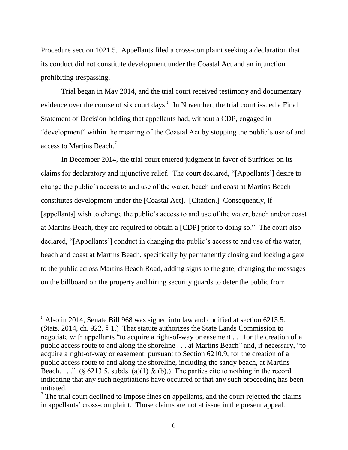Procedure section 1021.5. Appellants filed a cross-complaint seeking a declaration that its conduct did not constitute development under the Coastal Act and an injunction prohibiting trespassing.

Trial began in May 2014, and the trial court received testimony and documentary evidence over the course of six court days. $<sup>6</sup>$  In November, the trial court issued a Final</sup> Statement of Decision holding that appellants had, without a CDP, engaged in "development" within the meaning of the Coastal Act by stopping the public's use of and access to Martins Beach.<sup>7</sup>

In December 2014, the trial court entered judgment in favor of Surfrider on its claims for declaratory and injunctive relief. The court declared, "[Appellants'] desire to change the public's access to and use of the water, beach and coast at Martins Beach constitutes development under the [Coastal Act]. [Citation.] Consequently, if [appellants] wish to change the public's access to and use of the water, beach and/or coast at Martins Beach, they are required to obtain a [CDP] prior to doing so." The court also declared, "[Appellants'] conduct in changing the public's access to and use of the water, beach and coast at Martins Beach, specifically by permanently closing and locking a gate to the public across Martins Beach Road, adding signs to the gate, changing the messages on the billboard on the property and hiring security guards to deter the public from

 $\overline{a}$ 

 $6$  Also in 2014, Senate Bill 968 was signed into law and codified at section 6213.5. (Stats. 2014, ch. 922, § 1.) That statute authorizes the State Lands Commission to negotiate with appellants "to acquire a right-of-way or easement  $\ldots$  for the creation of a public access route to and along the shoreline . . . at Martins Beach" and, if necessary, "to acquire a right-of-way or easement, pursuant to Section 6210.9, for the creation of a public access route to and along the shoreline, including the sandy beach, at Martins Beach. . . ." (§ 6213.5, subds. (a)(1) & (b).) The parties cite to nothing in the record indicating that any such negotiations have occurred or that any such proceeding has been initiated.

 $<sup>7</sup>$  The trial court declined to impose fines on appellants, and the court rejected the claims</sup> in appellants' cross-complaint. Those claims are not at issue in the present appeal.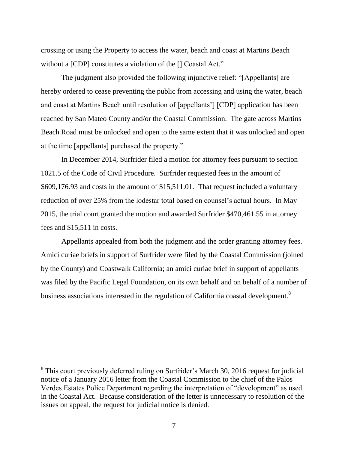crossing or using the Property to access the water, beach and coast at Martins Beach without a [CDP] constitutes a violation of the [] Coastal Act."

The judgment also provided the following injunctive relief: "[Appellants] are hereby ordered to cease preventing the public from accessing and using the water, beach and coast at Martins Beach until resolution of [appellants'] [CDP] application has been reached by San Mateo County and/or the Coastal Commission. The gate across Martins Beach Road must be unlocked and open to the same extent that it was unlocked and open at the time [appellants] purchased the property."

In December 2014, Surfrider filed a motion for attorney fees pursuant to section 1021.5 of the Code of Civil Procedure. Surfrider requested fees in the amount of \$609,176.93 and costs in the amount of \$15,511.01. That request included a voluntary reduction of over 25% from the lodestar total based on counsel's actual hours. In May 2015, the trial court granted the motion and awarded Surfrider \$470,461.55 in attorney fees and \$15,511 in costs.

Appellants appealed from both the judgment and the order granting attorney fees. Amici curiae briefs in support of Surfrider were filed by the Coastal Commission (joined by the County) and Coastwalk California; an amici curiae brief in support of appellants was filed by the Pacific Legal Foundation, on its own behalf and on behalf of a number of business associations interested in the regulation of California coastal development.<sup>8</sup>

<sup>&</sup>lt;sup>8</sup> This court previously deferred ruling on Surfrider's March 30, 2016 request for judicial notice of a January 2016 letter from the Coastal Commission to the chief of the Palos Verdes Estates Police Department regarding the interpretation of "development" as used in the Coastal Act. Because consideration of the letter is unnecessary to resolution of the issues on appeal, the request for judicial notice is denied.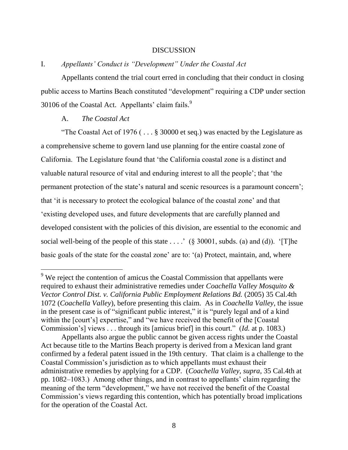#### DISCUSSION

#### I. *Appellants' Conduct is "Development" Under the Coastal Act*

Appellants contend the trial court erred in concluding that their conduct in closing public access to Martins Beach constituted "development" requiring a CDP under section 30106 of the Coastal Act. Appellants' claim fails.<sup>9</sup>

#### A. *The Coastal Act*

 $\overline{a}$ 

"The Coastal Act of 1976 ( $\dots$ § 30000 et seq.) was enacted by the Legislature as a comprehensive scheme to govern land use planning for the entire coastal zone of California. The Legislature found that ‗the California coastal zone is a distinct and valuable natural resource of vital and enduring interest to all the people'; that 'the permanent protection of the state's natural and scenic resources is a paramount concern'; that ‗it is necessary to protect the ecological balance of the coastal zone' and that ‗existing developed uses, and future developments that are carefully planned and developed consistent with the policies of this division, are essential to the economic and social well-being of the people of this state  $\dots$ . ' (§ 30001, subds. (a) and (d)). '[T]he basic goals of the state for the coastal zone' are to: '(a) Protect, maintain, and, where

 $9$  We reject the contention of amicus the Coastal Commission that appellants were required to exhaust their administrative remedies under *Coachella Valley Mosquito & Vector Control Dist. v. California Public Employment Relations Bd.* (2005) 35 Cal.4th 1072 (*Coachella Valley*), before presenting this claim. As in *Coachella Valley*, the issue in the present case is of "significant public interest," it is "purely legal and of a kind within the [court's] expertise," and "we have received the benefit of the [Coastal] Commission's] views . . . through its [amicus brief] in this court." *(Id.* at p. 1083.)

Appellants also argue the public cannot be given access rights under the Coastal Act because title to the Martins Beach property is derived from a Mexican land grant confirmed by a federal patent issued in the 19th century. That claim is a challenge to the Coastal Commission's jurisdiction as to which appellants must exhaust their administrative remedies by applying for a CDP. (*Coachella Valley, supra*, 35 Cal.4th at pp. 1082–1083.) Among other things, and in contrast to appellants' claim regarding the meaning of the term "development," we have not received the benefit of the Coastal Commission's views regarding this contention, which has potentially broad implications for the operation of the Coastal Act.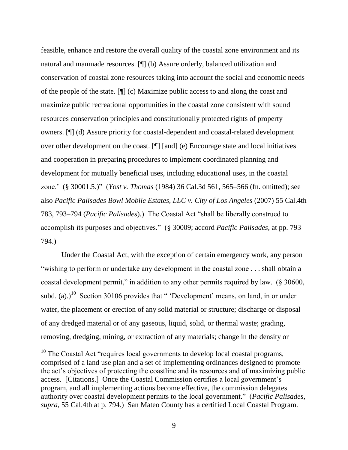feasible, enhance and restore the overall quality of the coastal zone environment and its natural and manmade resources. [¶] (b) Assure orderly, balanced utilization and conservation of coastal zone resources taking into account the social and economic needs of the people of the state. [¶] (c) Maximize public access to and along the coast and maximize public recreational opportunities in the coastal zone consistent with sound resources conservation principles and constitutionally protected rights of property owners. [¶] (d) Assure priority for coastal-dependent and coastal-related development over other development on the coast. [¶] [and] (e) Encourage state and local initiatives and cooperation in preparing procedures to implement coordinated planning and development for mutually beneficial uses, including educational uses, in the coastal zone.' (§ 30001.5.)‖ (*Yost v. Thomas* (1984) 36 Cal.3d 561, 565–566 (fn. omitted); see also *Pacific Palisades Bowl Mobile Estates, LLC v. City of Los Angeles* (2007) 55 Cal.4th 783, 793–794 (*Pacific Palisades*).) The Coastal Act "shall be liberally construed to accomplish its purposes and objectives.‖ (§ 30009; accord *Pacific Palisades*, at pp. 793– 794.)

Under the Coastal Act, with the exception of certain emergency work, any person "wishing to perform or undertake any development in the coastal zone . . . shall obtain a coastal development permit," in addition to any other permits required by law. (§ 30600, subd. (a).)<sup>10</sup> Section 30106 provides that " 'Development' means, on land, in or under water, the placement or erection of any solid material or structure; discharge or disposal of any dredged material or of any gaseous, liquid, solid, or thermal waste; grading, removing, dredging, mining, or extraction of any materials; change in the density or

 $10$  The Coastal Act "requires local governments to develop local coastal programs, comprised of a land use plan and a set of implementing ordinances designed to promote the act's objectives of protecting the coastline and its resources and of maximizing public access. [Citations.] Once the Coastal Commission certifies a local government's program, and all implementing actions become effective, the commission delegates authority over coastal development permits to the local government." (*Pacific Palisades*, *supra*, 55 Cal.4th at p. 794.) San Mateo County has a certified Local Coastal Program.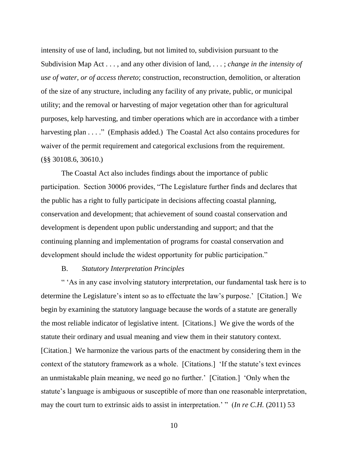intensity of use of land, including, but not limited to, subdivision pursuant to the Subdivision Map Act . . . , and any other division of land, . . . ; *change in the intensity of use of water, or of access thereto*; construction, reconstruction, demolition, or alteration of the size of any structure, including any facility of any private, public, or municipal utility; and the removal or harvesting of major vegetation other than for agricultural purposes, kelp harvesting, and timber operations which are in accordance with a timber harvesting plan  $\dots$ ." (Emphasis added.) The Coastal Act also contains procedures for waiver of the permit requirement and categorical exclusions from the requirement. (§§ 30108.6, 30610.)

The Coastal Act also includes findings about the importance of public participation. Section 30006 provides, "The Legislature further finds and declares that the public has a right to fully participate in decisions affecting coastal planning, conservation and development; that achievement of sound coastal conservation and development is dependent upon public understanding and support; and that the continuing planning and implementation of programs for coastal conservation and development should include the widest opportunity for public participation."

#### B. *Statutory Interpretation Principles*

― ‗As in any case involving statutory interpretation, our fundamental task here is to determine the Legislature's intent so as to effectuate the law's purpose.' [Citation.] We begin by examining the statutory language because the words of a statute are generally the most reliable indicator of legislative intent. [Citations.] We give the words of the statute their ordinary and usual meaning and view them in their statutory context. [Citation.] We harmonize the various parts of the enactment by considering them in the context of the statutory framework as a whole. [Citations.] ‗If the statute's text evinces an unmistakable plain meaning, we need go no further.' [Citation.] ‗Only when the statute's language is ambiguous or susceptible of more than one reasonable interpretation, may the court turn to extrinsic aids to assist in interpretation.' " (*In re C.H.* (2011) 53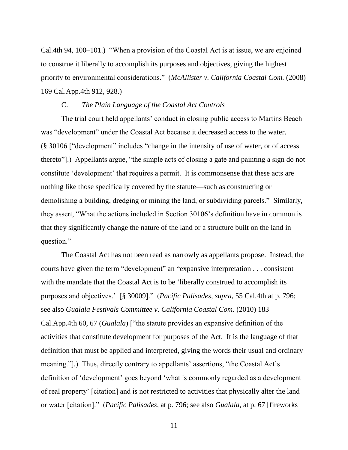Cal.4th 94, 100–101.) 
"When a provision of the Coastal Act is at issue, we are enjoined to construe it liberally to accomplish its purposes and objectives, giving the highest priority to environmental considerations.‖ (*McAllister v. California Coastal Com.* (2008) 169 Cal.App.4th 912, 928.)

#### C. *The Plain Language of the Coastal Act Controls*

The trial court held appellants' conduct in closing public access to Martins Beach was "development" under the Coastal Act because it decreased access to the water.  $(\S 30106)$  "development" includes "change in the intensity of use of water, or of access thereto"].) Appellants argue, "the simple acts of closing a gate and painting a sign do not constitute 'development' that requires a permit. It is commonsense that these acts are nothing like those specifically covered by the statute—such as constructing or demolishing a building, dredging or mining the land, or subdividing parcels." Similarly, they assert, "What the actions included in Section 30106's definition have in common is that they significantly change the nature of the land or a structure built on the land in question."

The Coastal Act has not been read as narrowly as appellants propose. Instead, the courts have given the term "development" an "expansive interpretation . . . consistent with the mandate that the Coastal Act is to be 'liberally construed to accomplish its purposes and objectives.' [§ 30009]." (*Pacific Palisades*, *supra*, 55 Cal.4th at p. 796; see also *Gualala Festivals Committee v. California Coastal Com.* (2010) 183 Cal.App.4th 60, 67 (*Gualala*) ["the statute provides an expansive definition of the activities that constitute development for purposes of the Act. It is the language of that definition that must be applied and interpreted, giving the words their usual and ordinary meaning."].) Thus, directly contrary to appellants' assertions, "the Coastal Act's definition of 'development' goes beyond 'what is commonly regarded as a development of real property' [citation] and is not restricted to activities that physically alter the land or water [citation].‖ (*Pacific Palisades*, at p. 796; see also *Gualala*, at p. 67 [fireworks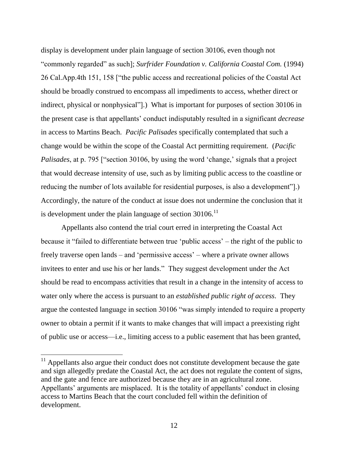display is development under plain language of section 30106, even though not ―commonly regarded‖ as such]; *Surfrider Foundation v. California Coastal Com.* (1994) 26 Cal. App. 4th 151, 158 ["the public access and recreational policies of the Coastal Act should be broadly construed to encompass all impediments to access, whether direct or indirect, physical or nonphysical"].) What is important for purposes of section 30106 in the present case is that appellants' conduct indisputably resulted in a significant *decrease* in access to Martins Beach. *Pacific Palisades* specifically contemplated that such a change would be within the scope of the Coastal Act permitting requirement. (*Pacific Palisades*, at p. 795 ["section 30106, by using the word 'change,' signals that a project that would decrease intensity of use, such as by limiting public access to the coastline or reducing the number of lots available for residential purposes, is also a development"... Accordingly, the nature of the conduct at issue does not undermine the conclusion that it is development under the plain language of section  $30106$ .<sup>11</sup>

Appellants also contend the trial court erred in interpreting the Coastal Act because it "failed to differentiate between true 'public access' – the right of the public to freely traverse open lands – and 'permissive access' – where a private owner allows invitees to enter and use his or her lands." They suggest development under the Act should be read to encompass activities that result in a change in the intensity of access to water only where the access is pursuant to an *established public right of access*. They argue the contested language in section 30106 "was simply intended to require a property owner to obtain a permit if it wants to make changes that will impact a preexisting right of public use or access—i.e., limiting access to a public easement that has been granted,

 $11$  Appellants also argue their conduct does not constitute development because the gate and sign allegedly predate the Coastal Act, the act does not regulate the content of signs, and the gate and fence are authorized because they are in an agricultural zone. Appellants' arguments are misplaced. It is the totality of appellants' conduct in closing access to Martins Beach that the court concluded fell within the definition of development.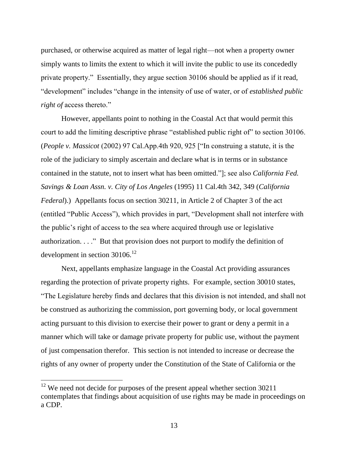purchased, or otherwise acquired as matter of legal right—not when a property owner simply wants to limits the extent to which it will invite the public to use its concededly private property.‖ Essentially, they argue section 30106 should be applied as if it read, "development" includes "change in the intensity of use of water, or of *established public right of* access thereto."

However, appellants point to nothing in the Coastal Act that would permit this court to add the limiting descriptive phrase "established public right of" to section 30106. (*People v. Massicot* (2002) 97 Cal.App.4th 920, 925 ["In construing a statute, it is the role of the judiciary to simply ascertain and declare what is in terms or in substance contained in the statute, not to insert what has been omitted."]; see also *California Fed. Savings & Loan Assn. v. City of Los Angeles* (1995) 11 Cal.4th 342, 349 (*California Federal*).) Appellants focus on section 30211, in Article 2 of Chapter 3 of the act (entitled "Public Access"), which provides in part, "Development shall not interfere with the public's right of access to the sea where acquired through use or legislative authorization.  $\ldots$  " But that provision does not purport to modify the definition of development in section  $30106$ .<sup>12</sup>

Next, appellants emphasize language in the Coastal Act providing assurances regarding the protection of private property rights. For example, section 30010 states, ―The Legislature hereby finds and declares that this division is not intended, and shall not be construed as authorizing the commission, port governing body, or local government acting pursuant to this division to exercise their power to grant or deny a permit in a manner which will take or damage private property for public use, without the payment of just compensation therefor. This section is not intended to increase or decrease the rights of any owner of property under the Constitution of the State of California or the

 $12$  We need not decide for purposes of the present appeal whether section 30211 contemplates that findings about acquisition of use rights may be made in proceedings on a CDP.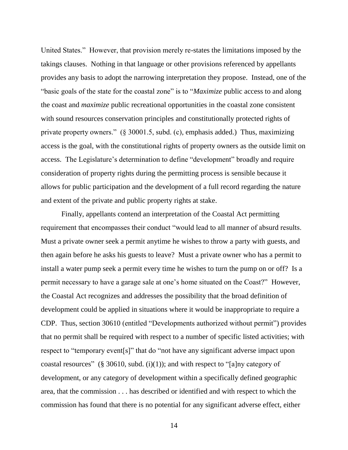United States." However, that provision merely re-states the limitations imposed by the takings clauses. Nothing in that language or other provisions referenced by appellants provides any basis to adopt the narrowing interpretation they propose. Instead, one of the "basic goals of the state for the coastal zone" is to "*Maximize* public access to and along the coast and *maximize* public recreational opportunities in the coastal zone consistent with sound resources conservation principles and constitutionally protected rights of private property owners." (§ 30001.5, subd. (c), emphasis added.) Thus, maximizing access is the goal, with the constitutional rights of property owners as the outside limit on access. The Legislature's determination to define "development" broadly and require consideration of property rights during the permitting process is sensible because it allows for public participation and the development of a full record regarding the nature and extent of the private and public property rights at stake.

Finally, appellants contend an interpretation of the Coastal Act permitting requirement that encompasses their conduct "would lead to all manner of absurd results. Must a private owner seek a permit anytime he wishes to throw a party with guests, and then again before he asks his guests to leave? Must a private owner who has a permit to install a water pump seek a permit every time he wishes to turn the pump on or off? Is a permit necessary to have a garage sale at one's home situated on the Coast?" However, the Coastal Act recognizes and addresses the possibility that the broad definition of development could be applied in situations where it would be inappropriate to require a CDP. Thus, section 30610 (entitled "Developments authorized without permit") provides that no permit shall be required with respect to a number of specific listed activities; with respect to "temporary event[s]" that do "not have any significant adverse impact upon coastal resources" (§ 30610, subd. (i)(1)); and with respect to "[a]ny category of development, or any category of development within a specifically defined geographic area, that the commission . . . has described or identified and with respect to which the commission has found that there is no potential for any significant adverse effect, either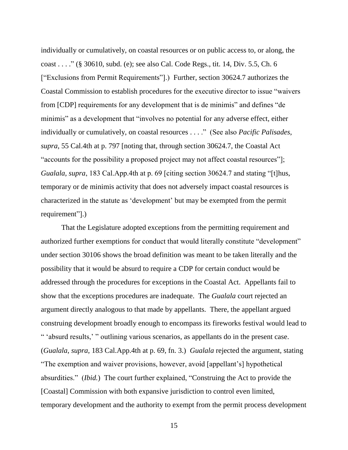individually or cumulatively, on coastal resources or on public access to, or along, the coast . . . . " (§ 30610, subd. (e); see also Cal. Code Regs., tit. 14, Div. 5.5, Ch. 6 ["Exclusions from Permit Requirements"].) Further, section 30624.7 authorizes the Coastal Commission to establish procedures for the executive director to issue "waivers" from [CDP] requirements for any development that is de minimis" and defines "de minimis" as a development that "involves no potential for any adverse effect, either individually or cumulatively, on coastal resources . . . ." (See also *Pacific Palisades*, *supra*, 55 Cal.4th at p. 797 [noting that, through section 30624.7, the Coastal Act "accounts for the possibility a proposed project may not affect coastal resources"]; *Gualala*, *supra*, 183 Cal.App.4th at p. 69 [citing section 30624.7 and stating "[t]hus, temporary or de minimis activity that does not adversely impact coastal resources is characterized in the statute as 'development' but may be exempted from the permit requirement"].)

That the Legislature adopted exceptions from the permitting requirement and authorized further exemptions for conduct that would literally constitute "development" under section 30106 shows the broad definition was meant to be taken literally and the possibility that it would be absurd to require a CDP for certain conduct would be addressed through the procedures for exceptions in the Coastal Act. Appellants fail to show that the exceptions procedures are inadequate. The *Gualala* court rejected an argument directly analogous to that made by appellants. There, the appellant argued construing development broadly enough to encompass its fireworks festival would lead to " 'absurd results,' " outlining various scenarios, as appellants do in the present case. (*Gualala*, *supra*, 183 Cal.App.4th at p. 69, fn. 3.) *Gualala* rejected the argument, stating ―The exemption and waiver provisions, however, avoid [appellant's] hypothetical absurdities." *(Ibid.)* The court further explained, "Construing the Act to provide the [Coastal] Commission with both expansive jurisdiction to control even limited, temporary development and the authority to exempt from the permit process development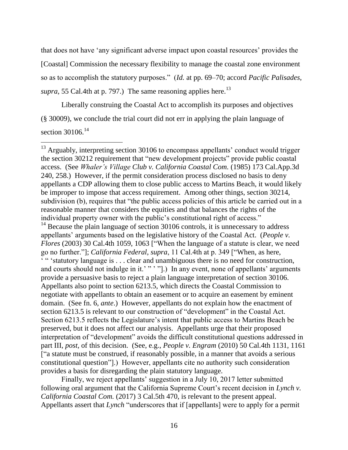that does not have ‗any significant adverse impact upon coastal resources' provides the [Coastal] Commission the necessary flexibility to manage the coastal zone environment so as to accomplish the statutory purposes.‖ (*Id.* at pp. 69–70; accord *Pacific Palisades*, *supra*, 55 Cal.4th at p. 797.) The same reasoning applies here.<sup>13</sup>

Liberally construing the Coastal Act to accomplish its purposes and objectives (§ 30009), we conclude the trial court did not err in applying the plain language of section  $30106$ <sup>14</sup>

 $\overline{a}$ 

Finally, we reject appellants' suggestion in a July 10, 2017 letter submitted following oral argument that the California Supreme Court's recent decision in *Lynch v. California Coastal Com.* (2017) 3 Cal.5th 470, is relevant to the present appeal. Appellants assert that *Lynch* "underscores that if [appellants] were to apply for a permit

 $13$  Arguably, interpreting section 30106 to encompass appellants' conduct would trigger the section 30212 requirement that "new development projects" provide public coastal access. (See *Whaler's Village Club v. California Coastal Com.* (1985) 173 Cal.App.3d 240, 258.) However, if the permit consideration process disclosed no basis to deny appellants a CDP allowing them to close public access to Martins Beach, it would likely be improper to impose that access requirement. Among other things, section 30214, subdivision (b), requires that "the public access policies of this article be carried out in a reasonable manner that considers the equities and that balances the rights of the individual property owner with the public's constitutional right of access."  $14$  Because the plain language of section 30106 controls, it is unnecessary to address appellants' arguments based on the legislative history of the Coastal Act. (*People v. Flores* (2003) 30 Cal.4th 1059, 1063 ["When the language of a statute is clear, we need go no further."]; *California Federal*, *supra*, 11 Cal.4th at p. 349 ["When, as here, <sup>4</sup> "Statutory language is . . . clear and unambiguous there is no need for construction, and courts should not indulge in it.' "' "'.) In any event, none of appellants' arguments provide a persuasive basis to reject a plain language interpretation of section 30106. Appellants also point to section 6213.5, which directs the Coastal Commission to negotiate with appellants to obtain an easement or to acquire an easement by eminent domain. (See fn. 6, *ante*.) However, appellants do not explain how the enactment of section 6213.5 is relevant to our construction of "development" in the Coastal Act. Section 6213.5 reflects the Legislature's intent that public access to Martins Beach be preserved, but it does not affect our analysis. Appellants urge that their proposed interpretation of "development" avoids the difficult constitutional questions addressed in part III, *post,* of this decision. (See, e.g., *People v. Engram* (2010) 50 Cal.4th 1131, 1161 ["a statute must be construed, if reasonably possible, in a manner that avoids a serious constitutional question‖].) However, appellants cite no authority such consideration provides a basis for disregarding the plain statutory language.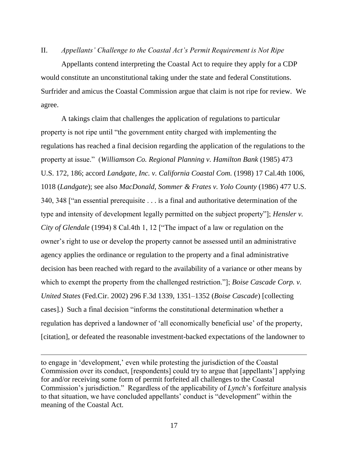#### II. *Appellants' Challenge to the Coastal Act's Permit Requirement is Not Ripe*

Appellants contend interpreting the Coastal Act to require they apply for a CDP would constitute an unconstitutional taking under the state and federal Constitutions. Surfrider and amicus the Coastal Commission argue that claim is not ripe for review. We agree.

A takings claim that challenges the application of regulations to particular property is not ripe until "the government entity charged with implementing the regulations has reached a final decision regarding the application of the regulations to the property at issue.‖ (*Williamson Co. Regional Planning v. Hamilton Bank* (1985) 473 U.S. 172, 186; accord *Landgate, Inc. v. California Coastal Com.* (1998) 17 Cal.4th 1006, 1018 (*Landgate*); see also *MacDonald, Sommer & Frates v. Yolo County* (1986) 477 U.S. 340, 348  $\lceil$  "an essential prerequisite  $\ldots$  is a final and authoritative determination of the type and intensity of development legally permitted on the subject property‖]; *Hensler v. City of Glendale* (1994) 8 Cal.4th 1, 12 ["The impact of a law or regulation on the owner's right to use or develop the property cannot be assessed until an administrative agency applies the ordinance or regulation to the property and a final administrative decision has been reached with regard to the availability of a variance or other means by which to exempt the property from the challenged restriction."]; *Boise Cascade Corp. v. United States* (Fed.Cir. 2002) 296 F.3d 1339, 1351–1352 (*Boise Cascade*) [collecting cases].) Such a final decision "informs the constitutional determination whether a regulation has deprived a landowner of 'all economically beneficial use' of the property, [citation], or defeated the reasonable investment-backed expectations of the landowner to

to engage in ‗development,' even while protesting the jurisdiction of the Coastal Commission over its conduct, [respondents] could try to argue that [appellants'] applying for and/or receiving some form of permit forfeited all challenges to the Coastal Commission's jurisdiction." Regardless of the applicability of *Lynch*'s forfeiture analysis to that situation, we have concluded appellants' conduct is "development" within the meaning of the Coastal Act.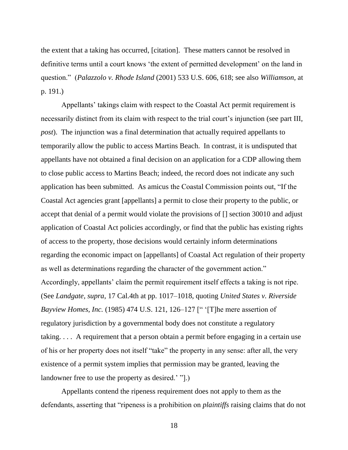the extent that a taking has occurred, [citation]. These matters cannot be resolved in definitive terms until a court knows 'the extent of permitted development' on the land in question.‖ (*Palazzolo v. Rhode Island* (2001) 533 U.S. 606, 618; see also *Williamson*, at p. 191.)

Appellants' takings claim with respect to the Coastal Act permit requirement is necessarily distinct from its claim with respect to the trial court's injunction (see part III, *post*). The injunction was a final determination that actually required appellants to temporarily allow the public to access Martins Beach. In contrast, it is undisputed that appellants have not obtained a final decision on an application for a CDP allowing them to close public access to Martins Beach; indeed, the record does not indicate any such application has been submitted. As amicus the Coastal Commission points out, "If the Coastal Act agencies grant [appellants] a permit to close their property to the public, or accept that denial of a permit would violate the provisions of [] section 30010 and adjust application of Coastal Act policies accordingly, or find that the public has existing rights of access to the property, those decisions would certainly inform determinations regarding the economic impact on [appellants] of Coastal Act regulation of their property as well as determinations regarding the character of the government action." Accordingly, appellants' claim the permit requirement itself effects a taking is not ripe. (See *Landgate, supra*, 17 Cal.4th at pp. 1017–1018, quoting *United States v. Riverside Bayview Homes, Inc.* (1985) 474 U.S. 121, 126–127 [" '[T]he mere assertion of regulatory jurisdiction by a governmental body does not constitute a regulatory taking. . . . A requirement that a person obtain a permit before engaging in a certain use of his or her property does not itself "take" the property in any sense: after all, the very existence of a permit system implies that permission may be granted, leaving the landowner free to use the property as desired.' "[.].

Appellants contend the ripeness requirement does not apply to them as the defendants, asserting that "ripeness is a prohibition on *plaintiffs* raising claims that do not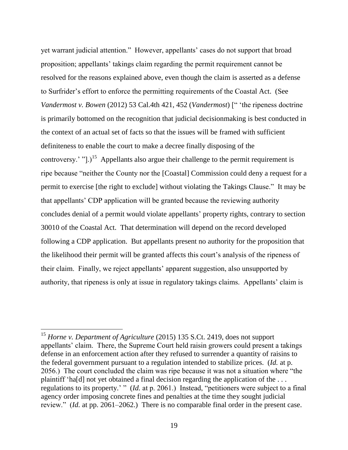yet warrant judicial attention." However, appellants' cases do not support that broad proposition; appellants' takings claim regarding the permit requirement cannot be resolved for the reasons explained above, even though the claim is asserted as a defense to Surfrider's effort to enforce the permitting requirements of the Coastal Act. (See *Vandermost v. Bowen* (2012) 53 Cal.4th 421, 452 (*Vandermost*) [" 'the ripeness doctrine is primarily bottomed on the recognition that judicial decisionmaking is best conducted in the context of an actual set of facts so that the issues will be framed with sufficient definiteness to enable the court to make a decree finally disposing of the controversy.' " $]$ .)<sup>15</sup> Appellants also argue their challenge to the permit requirement is ripe because "neither the County nor the [Coastal] Commission could deny a request for a permit to exercise [the right to exclude] without violating the Takings Clause." It may be that appellants' CDP application will be granted because the reviewing authority concludes denial of a permit would violate appellants' property rights, contrary to section 30010 of the Coastal Act. That determination will depend on the record developed following a CDP application. But appellants present no authority for the proposition that the likelihood their permit will be granted affects this court's analysis of the ripeness of their claim. Finally, we reject appellants' apparent suggestion, also unsupported by authority, that ripeness is only at issue in regulatory takings claims. Appellants' claim is

 $\overline{a}$ 

<sup>15</sup> *Horne v. Department of Agriculture* (2015) 135 S.Ct. 2419, does not support appellants' claim. There, the Supreme Court held raisin growers could present a takings defense in an enforcement action after they refused to surrender a quantity of raisins to the federal government pursuant to a regulation intended to stabilize prices. (*Id.* at p. 2056.) The court concluded the claim was ripe because it was not a situation where "the plaintiff 'ha[d] not yet obtained a final decision regarding the application of the  $\dots$ regulations to its property.' " (*Id.* at p. 2061.) Instead, "petitioners were subject to a final agency order imposing concrete fines and penalties at the time they sought judicial review." (*Id.* at pp. 2061–2062.) There is no comparable final order in the present case.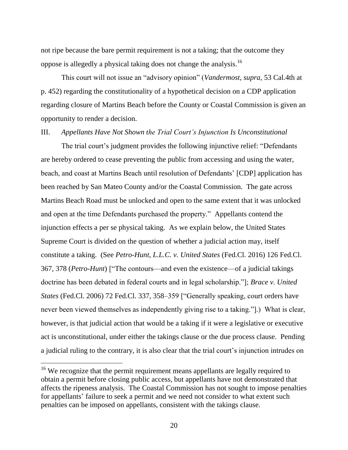not ripe because the bare permit requirement is not a taking; that the outcome they oppose is allegedly a physical taking does not change the analysis.<sup>16</sup>

This court will not issue an "advisory opinion" (*Vandermost*, *supra*, 53 Cal.4th at p. 452) regarding the constitutionality of a hypothetical decision on a CDP application regarding closure of Martins Beach before the County or Coastal Commission is given an opportunity to render a decision.

#### III. *Appellants Have Not Shown the Trial Court's Injunction Is Unconstitutional*

The trial court's judgment provides the following injunctive relief: "Defendants" are hereby ordered to cease preventing the public from accessing and using the water, beach, and coast at Martins Beach until resolution of Defendants' [CDP] application has been reached by San Mateo County and/or the Coastal Commission. The gate across Martins Beach Road must be unlocked and open to the same extent that it was unlocked and open at the time Defendants purchased the property." Appellants contend the injunction effects a per se physical taking. As we explain below, the United States Supreme Court is divided on the question of whether a judicial action may, itself constitute a taking. (See *Petro-Hunt, L.L.C. v. United States* (Fed.Cl. 2016) 126 Fed.Cl. 367, 378 (*Petro-Hunt*) ["The contours—and even the existence—of a judicial takings doctrine has been debated in federal courts and in legal scholarship.‖]; *Brace v. United States* (Fed.Cl. 2006) 72 Fed.Cl. 337, 358–359 ["Generally speaking, court orders have never been viewed themselves as independently giving rise to a taking.".) What is clear, however, is that judicial action that would be a taking if it were a legislative or executive act is unconstitutional, under either the takings clause or the due process clause. Pending a judicial ruling to the contrary, it is also clear that the trial court's injunction intrudes on

<sup>&</sup>lt;sup>16</sup> We recognize that the permit requirement means appellants are legally required to obtain a permit before closing public access, but appellants have not demonstrated that affects the ripeness analysis. The Coastal Commission has not sought to impose penalties for appellants' failure to seek a permit and we need not consider to what extent such penalties can be imposed on appellants, consistent with the takings clause.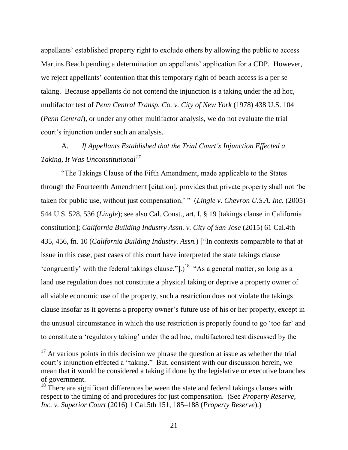appellants' established property right to exclude others by allowing the public to access Martins Beach pending a determination on appellants' application for a CDP. However, we reject appellants' contention that this temporary right of beach access is a per se taking. Because appellants do not contend the injunction is a taking under the ad hoc, multifactor test of *Penn Central Transp. Co. v. City of New York* (1978) 438 U.S. 104 (*Penn Central*), or under any other multifactor analysis, we do not evaluate the trial court's injunction under such an analysis.

## A. *If Appellants Established that the Trial Court's Injunction Effected a Taking, It Was Unconstitutional<sup>17</sup>*

―The Takings Clause of the Fifth Amendment, made applicable to the States through the Fourteenth Amendment [citation], provides that private property shall not 'be taken for public use, without just compensation.' " (*Lingle v. Chevron U.S.A. Inc.* (2005) 544 U.S. 528, 536 (*Lingle*); see also Cal. Const., art. I, § 19 [takings clause in California constitution]; *California Building Industry Assn. v. City of San Jose* (2015) 61 Cal.4th 435, 456, fn. 10 (*California Building Industry. Assn.*) ["In contexts comparable to that at issue in this case, past cases of this court have interpreted the state takings clause 'congruently' with the federal takings clause." $]$ .)<sup>18</sup> "As a general matter, so long as a land use regulation does not constitute a physical taking or deprive a property owner of all viable economic use of the property, such a restriction does not violate the takings clause insofar as it governs a property owner's future use of his or her property, except in the unusual circumstance in which the use restriction is properly found to go 'too far' and to constitute a ‗regulatory taking' under the ad hoc, multifactored test discussed by the

 $17$  At various points in this decision we phrase the question at issue as whether the trial court's injunction effected a "taking." But, consistent with our discussion herein, we mean that it would be considered a taking if done by the legislative or executive branches of government.

 $18$  There are significant differences between the state and federal takings clauses with respect to the timing of and procedures for just compensation. (See *Property Reserve, Inc. v. Superior Court* (2016) 1 Cal.5th 151, 185–188 (*Property Reserve*).)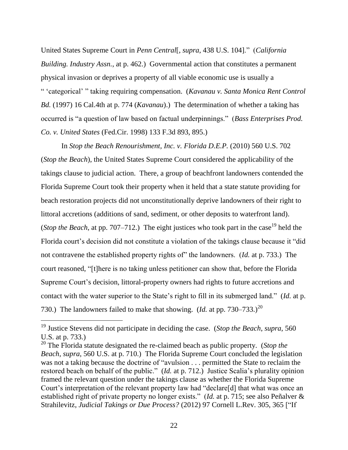United States Supreme Court in *Penn Central*<sup>[</sup>, *supra*, 438 U.S. 104]." (*California Building. Industry Assn.*, at p. 462.) Governmental action that constitutes a permanent physical invasion or deprives a property of all viable economic use is usually a ― ‗categorical' ‖ taking requiring compensation. (*Kavanau v. Santa Monica Rent Control Bd.* (1997) 16 Cal.4th at p. 774 (*Kavanau*).) The determination of whether a taking has occurred is "a question of law based on factual underpinnings." (*Bass Enterprises Prod. Co. v. United States* (Fed.Cir. 1998) 133 F.3d 893, 895.)

In *Stop the Beach Renourishment, Inc. v. Florida D.E.P.* (2010) 560 U.S. 702 (*Stop the Beach*), the United States Supreme Court considered the applicability of the takings clause to judicial action. There, a group of beachfront landowners contended the Florida Supreme Court took their property when it held that a state statute providing for beach restoration projects did not unconstitutionally deprive landowners of their right to littoral accretions (additions of sand, sediment, or other deposits to waterfront land). (*Stop the Beach*, at pp. 707–712.) The eight justices who took part in the case<sup>19</sup> held the Florida court's decision did not constitute a violation of the takings clause because it "did" not contravene the established property rights of" the landowners. (*Id.* at p. 733.) The court reasoned, "[t]here is no taking unless petitioner can show that, before the Florida Supreme Court's decision, littoral-property owners had rights to future accretions and contact with the water superior to the State's right to fill in its submerged land." (*Id.* at p. 730.) The landowners failed to make that showing. (*Id.* at pp. 730–733.)<sup>20</sup>

 $\overline{a}$ 

<sup>19</sup> Justice Stevens did not participate in deciding the case. (*Stop the Beach*, *supra*, 560 U.S. at p. 733.)

<sup>20</sup> The Florida statute designated the re-claimed beach as public property. (*Stop the Beach*, *supra*, 560 U.S. at p. 710.) The Florida Supreme Court concluded the legislation was not a taking because the doctrine of "avulsion . . . permitted the State to reclaim the restored beach on behalf of the public." (*Id.* at p. 712.) Justice Scalia's plurality opinion framed the relevant question under the takings clause as whether the Florida Supreme Court's interpretation of the relevant property law had "declare[d] that what was once an established right of private property no longer exists." (*Id.* at p. 715; see also Peñalver & Strahilevitz, Judicial Takings or Due Process? (2012) 97 Cornell L.Rev. 305, 365 ["If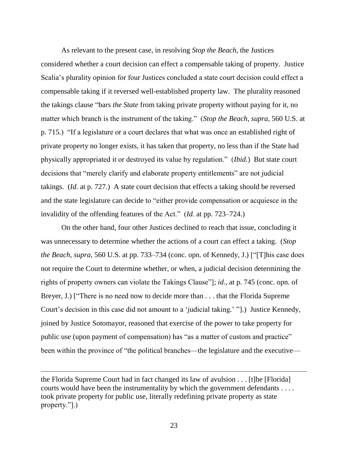As relevant to the present case, in resolving *Stop the Beach*, the Justices considered whether a court decision can effect a compensable taking of property. Justice Scalia's plurality opinion for four Justices concluded a state court decision could effect a compensable taking if it reversed well-established property law. The plurality reasoned the takings clause "bars *the State* from taking private property without paying for it, no matter which branch is the instrument of the taking." (*Stop the Beach*, *supra*, 560 U.S. at p. 715.) "If a legislature or a court declares that what was once an established right of private property no longer exists, it has taken that property, no less than if the State had physically appropriated it or destroyed its value by regulation.‖ (*Ibid.*) But state court decisions that "merely clarify and elaborate property entitlements" are not judicial takings. (*Id.* at p. 727.) A state court decision that effects a taking should be reversed and the state legislature can decide to "either provide compensation or acquiesce in the invalidity of the offending features of the Act." (*Id.* at pp. 723–724.)

On the other hand, four other Justices declined to reach that issue, concluding it was unnecessary to determine whether the actions of a court can effect a taking. (*Stop the Beach, supra,* 560 U.S. at pp. 733–734 (conc. opn. of Kennedy, J.) ["[T]his case does not require the Court to determine whether, or when, a judicial decision determining the rights of property owners can violate the Takings Clause"]; *id.*, at p. 745 (conc. opn. of Breyer, J.) ["There is no need now to decide more than . . . that the Florida Supreme Court's decision in this case did not amount to a 'judicial taking.' "[.]. Justice Kennedy, joined by Justice Sotomayor, reasoned that exercise of the power to take property for public use (upon payment of compensation) has "as a matter of custom and practice" been within the province of "the political branches—the legislature and the executive—

the Florida Supreme Court had in fact changed its law of avulsion . . . [t]he [Florida] courts would have been the instrumentality by which the government defendants . . . . took private property for public use, literally redefining private property as state property."[.]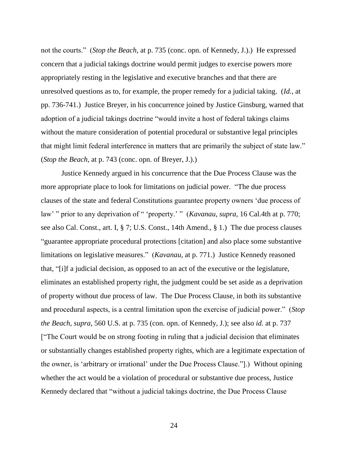not the courts.‖ (*Stop the Beach*, at p. 735 (conc. opn. of Kennedy, J.).) He expressed concern that a judicial takings doctrine would permit judges to exercise powers more appropriately resting in the legislative and executive branches and that there are unresolved questions as to, for example, the proper remedy for a judicial taking. (*Id.*, at pp. 736-741.) Justice Breyer, in his concurrence joined by Justice Ginsburg, warned that adoption of a judicial takings doctrine "would invite a host of federal takings claims without the mature consideration of potential procedural or substantive legal principles that might limit federal interference in matters that are primarily the subject of state law." (*Stop the Beach*, at p. 743 (conc. opn. of Breyer, J.).)

Justice Kennedy argued in his concurrence that the Due Process Clause was the more appropriate place to look for limitations on judicial power. "The due process clauses of the state and federal Constitutions guarantee property owners ‗due process of law' " prior to any deprivation of " 'property.' " (*Kavanau*, *supra*, 16 Cal.4th at p. 770; see also Cal. Const., art. I, § 7; U.S. Const., 14th Amend., § 1.) The due process clauses ―guarantee appropriate procedural protections [citation] and also place some substantive limitations on legislative measures." (*Kavanau*, at p. 771.) Justice Kennedy reasoned that, "[i]f a judicial decision, as opposed to an act of the executive or the legislature, eliminates an established property right, the judgment could be set aside as a deprivation of property without due process of law. The Due Process Clause, in both its substantive and procedural aspects, is a central limitation upon the exercise of judicial power." (*Stop the Beach*, *supra*, 560 U.S. at p. 735 (con. opn. of Kennedy, J.); see also *id.* at p. 737 ["The Court would be on strong footing in ruling that a judicial decision that eliminates or substantially changes established property rights, which are a legitimate expectation of the owner, is 'arbitrary or irrational' under the Due Process Clause."[1]. Without opining whether the act would be a violation of procedural or substantive due process, Justice Kennedy declared that "without a judicial takings doctrine, the Due Process Clause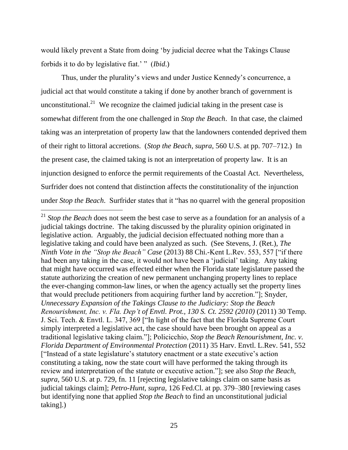would likely prevent a State from doing 'by judicial decree what the Takings Clause forbids it to do by legislative fiat.' " *(Ibid.)* 

Thus, under the plurality's views and under Justice Kennedy's concurrence, a judicial act that would constitute a taking if done by another branch of government is unconstitutional.<sup>21</sup> We recognize the claimed judicial taking in the present case is somewhat different from the one challenged in *Stop the Beach*. In that case, the claimed taking was an interpretation of property law that the landowners contended deprived them of their right to littoral accretions. (*Stop the Beach*, *supra*, 560 U.S. at pp. 707–712.) In the present case, the claimed taking is not an interpretation of property law. It is an injunction designed to enforce the permit requirements of the Coastal Act. Nevertheless, Surfrider does not contend that distinction affects the constitutionality of the injunction under *Stop the Beach*. Surfrider states that it "has no quarrel with the general proposition

 $\overline{a}$ <sup>21</sup> *Stop the Beach* does not seem the best case to serve as a foundation for an analysis of a judicial takings doctrine. The taking discussed by the plurality opinion originated in legislative action. Arguably, the judicial decision effectuated nothing more than a legislative taking and could have been analyzed as such. (See Stevens, J. (Ret.), *The Ninth Vote in the "Stop the Beach" Case* (2013) 88 Chi.-Kent L.Rev. 553, 557 ["if there had been any taking in the case, it would not have been a 'judicial' taking. Any taking that might have occurred was effected either when the Florida state legislature passed the statute authorizing the creation of new permanent unchanging property lines to replace the ever-changing common-law lines, or when the agency actually set the property lines that would preclude petitioners from acquiring further land by accretion."]; Snyder, *Unnecessary Expansion of the Takings Clause to the Judiciary: Stop the Beach Renourishment, Inc. v. Fla. Dep't of Envtl. Prot., 130 S. Ct. 2592 (2010)* (2011) 30 Temp. J. Sci. Tech. & Envtl. L. 347, 369 ["In light of the fact that the Florida Supreme Court simply interpreted a legislative act, the case should have been brought on appeal as a traditional legislative taking claim."]; Policicchio, *Stop the Beach Renourishment, Inc. v. Florida Department of Environmental Protection* (2011) 35 Harv. Envtl. L.Rev. 541, 552 ["Instead of a state legislature's statutory enactment or a state executive's action constituting a taking, now the state court will have performed the taking through its review and interpretation of the statute or executive action.‖]; see also *Stop the Beach*, *supra*, 560 U.S. at p. 729, fn. 11 [rejecting legislative takings claim on same basis as judicial takings claim]; *Petro-Hunt, supra*, 126 Fed.Cl. at pp. 379–380 [reviewing cases but identifying none that applied *Stop the Beach* to find an unconstitutional judicial taking].)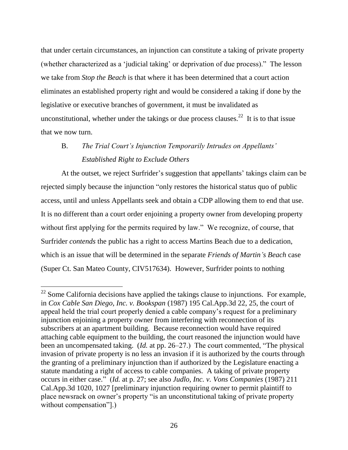that under certain circumstances, an injunction can constitute a taking of private property (whether characterized as a 'judicial taking' or deprivation of due process)." The lesson we take from *Stop the Beach* is that where it has been determined that a court action eliminates an established property right and would be considered a taking if done by the legislative or executive branches of government, it must be invalidated as unconstitutional, whether under the takings or due process clauses.<sup>22</sup> It is to that issue that we now turn.

# B. *The Trial Court's Injunction Temporarily Intrudes on Appellants' Established Right to Exclude Others*

At the outset, we reject Surfrider's suggestion that appellants' takings claim can be rejected simply because the injunction "only restores the historical status quo of public access, until and unless Appellants seek and obtain a CDP allowing them to end that use. It is no different than a court order enjoining a property owner from developing property without first applying for the permits required by law." We recognize, of course, that Surfrider *contends* the public has a right to access Martins Beach due to a dedication, which is an issue that will be determined in the separate *Friends of Martin's Beach* case (Super Ct. San Mateo County, CIV517634). However, Surfrider points to nothing

 $22$  Some California decisions have applied the takings clause to injunctions. For example, in *Cox Cable San Diego, Inc. v. Bookspan* (1987) 195 Cal.App.3d 22, 25, the court of appeal held the trial court properly denied a cable company's request for a preliminary injunction enjoining a property owner from interfering with reconnection of its subscribers at an apartment building. Because reconnection would have required attaching cable equipment to the building, the court reasoned the injunction would have been an uncompensated taking. (*Id.* at pp. 26–27.) The court commented, "The physical invasion of private property is no less an invasion if it is authorized by the courts through the granting of a preliminary injunction than if authorized by the Legislature enacting a statute mandating a right of access to cable companies. A taking of private property occurs in either case.‖ (*Id.* at p. 27; see also *Judlo, Inc. v. Vons Companies* (1987) 211 Cal.App.3d 1020, 1027 [preliminary injunction requiring owner to permit plaintiff to place newsrack on owner's property "is an unconstitutional taking of private property without compensation"[.]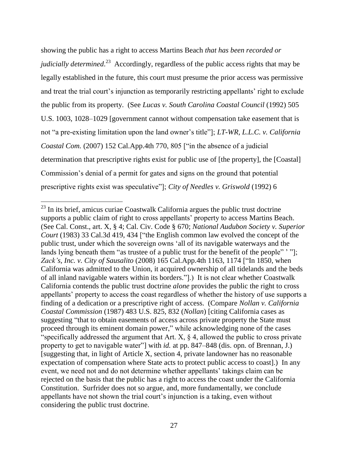showing the public has a right to access Martins Beach *that has been recorded or judicially determined*. 23 Accordingly, regardless of the public access rights that may be legally established in the future, this court must presume the prior access was permissive and treat the trial court's injunction as temporarily restricting appellants' right to exclude the public from its property. (See *Lucas v. South Carolina Coastal Council* (1992) 505 U.S. 1003, 1028–1029 [government cannot without compensation take easement that is not "a pre-existing limitation upon the land owner's title"]; *LT-WR, L.L.C. v. California Coastal Com.* (2007) 152 Cal.App.4th 770, 805 ["in the absence of a judicial determination that prescriptive rights exist for public use of [the property], the [Coastal] Commission's denial of a permit for gates and signs on the ground that potential prescriptive rights exist was speculative"]; *City of Needles v. Griswold* (1992) 6

 $\overline{a}$ 

 $2<sup>23</sup>$  In its brief, amicus curiae Coastwalk California argues the public trust doctrine supports a public claim of right to cross appellants' property to access Martins Beach. (See Cal. Const., art. X, § 4; Cal. Civ. Code § 670; *National Audubon Society v. Superior Court* (1983) 33 Cal.3d 419, 434 ["the English common law evolved the concept of the public trust, under which the sovereign owns ‗all of its navigable waterways and the lands lying beneath them "as trustee of a public trust for the benefit of the people" '"]; *Zack's, Inc. v. City of Sausalito* (2008) 165 Cal.App.4th 1163, 1174 ["In 1850, when California was admitted to the Union, it acquired ownership of all tidelands and the beds of all inland navigable waters within its borders.‖].) It is not clear whether Coastwalk California contends the public trust doctrine *alone* provides the public the right to cross appellants' property to access the coast regardless of whether the history of use supports a finding of a dedication or a prescriptive right of access. (Compare *Nollan v. California Coastal Commission* (1987) 483 U.S. 825, 832 (*Nollan*) [citing California cases as suggesting "that to obtain easements of access across private property the State must proceed through its eminent domain power," while acknowledging none of the cases "specifically addressed the argument that Art.  $X$ ,  $\S$  4, allowed the public to cross private property to get to navigable water"] with *id.* at pp. 847–848 (dis. opn. of Brennan, J.) [suggesting that, in light of Article X, section 4, private landowner has no reasonable expectation of compensation where State acts to protect public access to coast].) In any event, we need not and do not determine whether appellants' takings claim can be rejected on the basis that the public has a right to access the coast under the California Constitution. Surfrider does not so argue, and, more fundamentally, we conclude appellants have not shown the trial court's injunction is a taking, even without considering the public trust doctrine.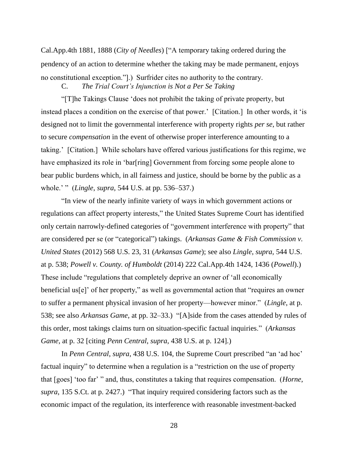Cal.App.4th 1881, 1888 (*City of Needles*) ["A temporary taking ordered during the pendency of an action to determine whether the taking may be made permanent, enjoys no constitutional exception.‖].) Surfrider cites no authority to the contrary.

C. *The Trial Court's Injunction is Not a Per Se Taking*

―[T]he Takings Clause ‗does not prohibit the taking of private property, but instead places a condition on the exercise of that power.' [Citation.] In other words, it 'is designed not to limit the governmental interference with property rights *per se*, but rather to secure *compensation* in the event of otherwise proper interference amounting to a taking.' [Citation.] While scholars have offered various justifications for this regime, we have emphasized its role in 'bar[ring] Government from forcing some people alone to bear public burdens which, in all fairness and justice, should be borne by the public as a whole.' " *(Lingle, supra,* 544 U.S. at pp. 536–537.)

―In view of the nearly infinite variety of ways in which government actions or regulations can affect property interests," the United States Supreme Court has identified only certain narrowly-defined categories of "government interference with property" that are considered per se (or "categorical") takings. (*Arkansas Game & Fish Commission v. United States* (2012) 568 U.S. 23, 31 (*Arkansas Game*); see also *Lingle*, *supra*, 544 U.S. at p. 538; *Powell v. County. of Humboldt* (2014) 222 Cal.App.4th 1424, 1436 (*Powell*).) These include "regulations that completely deprive an owner of 'all economically beneficial us $[e]$  of her property," as well as governmental action that "requires an owner to suffer a permanent physical invasion of her property—however minor.‖ (*Lingle*, at p. 538; see also *Arkansas Game*, at pp. 32–33.) "[A]side from the cases attended by rules of this order, most takings claims turn on situation-specific factual inquiries.‖ (*Arkansas Game*, at p. 32 [citing *Penn Central*, *supra*, 438 U.S. at p. 124].)

In *Penn Central*, *supra*, 438 U.S. 104, the Supreme Court prescribed "an 'ad hoc' factual inquiry" to determine when a regulation is a "restriction on the use of property that [goes] 'too far' " and, thus, constitutes a taking that requires compensation. (*Horne*, *supra*, 135 S.Ct. at p. 2427.) "That inquiry required considering factors such as the economic impact of the regulation, its interference with reasonable investment-backed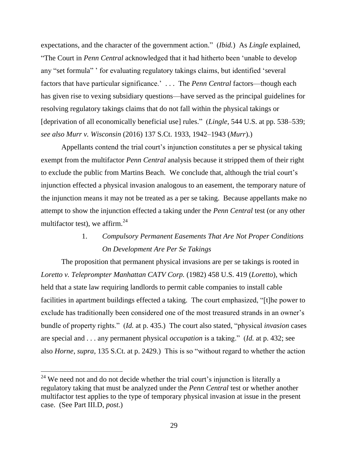expectations, and the character of the government action." (*Ibid.*) As *Lingle* explained, "The Court in *Penn Central* acknowledged that it had hitherto been 'unable to develop any "set formula" ' for evaluating regulatory takings claims, but identified 'several factors that have particular significance.' . . . The *Penn Central* factors—though each has given rise to vexing subsidiary questions—have served as the principal guidelines for resolving regulatory takings claims that do not fall within the physical takings or [deprivation of all economically beneficial use] rules." (*Lingle*, 544 U.S. at pp. 538–539; *see also Murr v. Wisconsin* (2016) 137 S.Ct. 1933, 1942–1943 (*Murr*).)

Appellants contend the trial court's injunction constitutes a per se physical taking exempt from the multifactor *Penn Central* analysis because it stripped them of their right to exclude the public from Martins Beach. We conclude that, although the trial court's injunction effected a physical invasion analogous to an easement, the temporary nature of the injunction means it may not be treated as a per se taking. Because appellants make no attempt to show the injunction effected a taking under the *Penn Central* test (or any other multifactor test), we affirm. $^{24}$ 

### 1. *Compulsory Permanent Easements That Are Not Proper Conditions On Development Are Per Se Takings*

The proposition that permanent physical invasions are per se takings is rooted in *Loretto v. Teleprompter Manhattan CATV Corp.* (1982) 458 U.S. 419 (*Loretto*), which held that a state law requiring landlords to permit cable companies to install cable facilities in apartment buildings effected a taking. The court emphasized, "[t]he power to exclude has traditionally been considered one of the most treasured strands in an owner's bundle of property rights." (*Id.* at p. 435.) The court also stated, "physical *invasion* cases are special and . . . any permanent physical *occupation* is a taking." (*Id.* at p. 432; see also *Horne*, *supra*, 135 S.Ct. at p. 2429.) This is so "without regard to whether the action

 $24$  We need not and do not decide whether the trial court's injunction is literally a regulatory taking that must be analyzed under the *Penn Central* test or whether another multifactor test applies to the type of temporary physical invasion at issue in the present case. (See Part III.D, *post*.)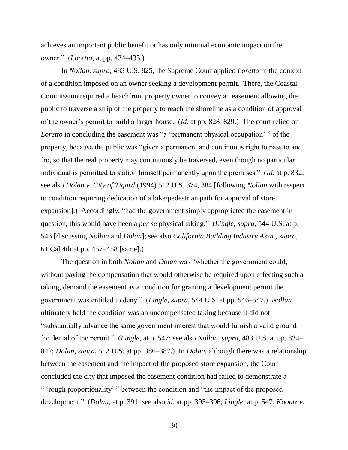achieves an important public benefit or has only minimal economic impact on the owner.‖ (*Loretto*, at pp. 434–435.)

In *Nollan*, *supra*, 483 U.S. 825, the Supreme Court applied *Loretto* in the context of a condition imposed on an owner seeking a development permit. There, the Coastal Commission required a beachfront property owner to convey an easement allowing the public to traverse a strip of the property to reach the shoreline as a condition of approval of the owner's permit to build a larger house. (*Id.* at pp. 828–829.) The court relied on *Loretto* in concluding the easement was "a 'permanent physical occupation' " of the property, because the public was "given a permanent and continuous right to pass to and fro, so that the real property may continuously be traversed, even though no particular individual is permitted to station himself permanently upon the premises." (*Id.* at p. 832; see also *Dolan v. City of Tigard* (1994) 512 U.S. 374, 384 [following *Nollan* with respect to condition requiring dedication of a bike/pedestrian path for approval of store expansion].) Accordingly, "had the government simply appropriated the easement in question, this would have been a *per se* physical taking.‖ (*Lingle*, *supra*, 544 U.S. at p. 546 [discussing *Nollan* and *Dolan*]; see also *California Building Industry Assn.*, *supra*, 61 Cal.4th at pp. 457–458 [same].)

The question in both *Nollan* and *Dolan* was "whether the government could, without paying the compensation that would otherwise be required upon effecting such a taking, demand the easement as a condition for granting a development permit the government was entitled to deny.‖ (*Lingle*, *supra*, 544 U.S. at pp. 546–547.) *Nollan* ultimately held the condition was an uncompensated taking because it did not ―substantially advance the same government interest that would furnish a valid ground for denial of the permit.‖ (*Lingle*, at p. 547; see also *Nollan*, *supra*, 483 U.S. at pp. 834– 842; *Dolan*, *supra*, 512 U.S. at pp. 386–387.) In *Dolan*, although there was a relationship between the easement and the impact of the proposed store expansion, the Court concluded the city that imposed the easement condition had failed to demonstrate a " 'rough proportionality' " between the condition and "the impact of the proposed development.‖ (*Dolan*, at p. 391; see also *id.* at pp. 395–396; *Lingle*, at p. 547; *Koontz v.*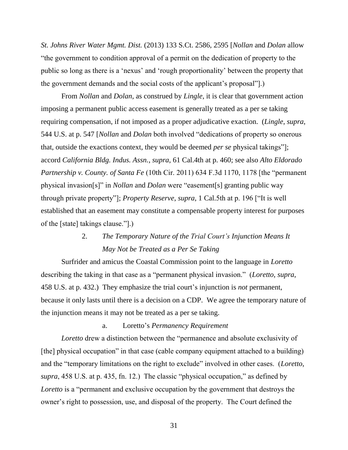*St. Johns River Water Mgmt. Dist.* (2013) 133 S.Ct. 2586, 2595 [*Nollan* and *Dolan* allow ―the government to condition approval of a permit on the dedication of property to the public so long as there is a 'nexus' and 'rough proportionality' between the property that the government demands and the social costs of the applicant's proposal"].)

From *Nollan* and *Dolan*, as construed by *Lingle*, it is clear that government action imposing a permanent public access easement is generally treated as a per se taking requiring compensation, if not imposed as a proper adjudicative exaction. (*Lingle*, *supra*, 544 U.S. at p. 547 [*Nollan* and *Dolan* both involved "dedications of property so onerous that, outside the exactions context, they would be deemed *per se* physical takings"]; accord *California Bldg. Indus. Assn.*, *supra*, 61 Cal.4th at p. 460; see also *Alto Eldorado Partnership v. County. of Santa Fe* (10th Cir. 2011) 634 F.3d 1170, 1178 [the "permanent" physical invasion[s]" in *Nollan* and *Dolan* were "easement[s] granting public way through private property"]; *Property Reserve*, *supra*, 1 Cal.5th at p. 196 ["It is well established that an easement may constitute a compensable property interest for purposes of the [state] takings clause."].)

### 2. *The Temporary Nature of the Trial Court's Injunction Means It May Not be Treated as a Per Se Taking*

Surfrider and amicus the Coastal Commission point to the language in *Loretto* describing the taking in that case as a "permanent physical invasion." (*Loretto*, *supra*, 458 U.S. at p. 432.) They emphasize the trial court's injunction is *not* permanent, because it only lasts until there is a decision on a CDP. We agree the temporary nature of the injunction means it may not be treated as a per se taking.

#### a. Loretto's *Permanency Requirement*

*Loretto* drew a distinction between the "permanence and absolute exclusivity of [the] physical occupation" in that case (cable company equipment attached to a building) and the "temporary limitations on the right to exclude" involved in other cases. (*Loretto*, *supra*, 458 U.S. at p. 435, fn. 12.) The classic "physical occupation," as defined by *Loretto* is a "permanent and exclusive occupation by the government that destroys the owner's right to possession, use, and disposal of the property. The Court defined the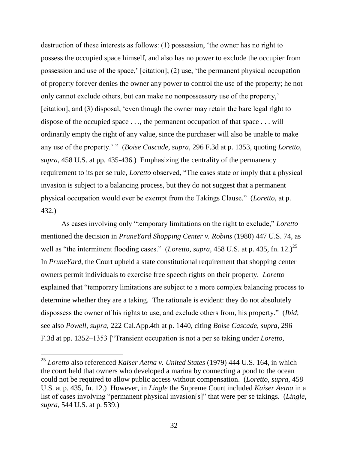destruction of these interests as follows: (1) possession, 'the owner has no right to possess the occupied space himself, and also has no power to exclude the occupier from possession and use of the space,' [citation]; (2) use, ‗the permanent physical occupation of property forever denies the owner any power to control the use of the property; he not only cannot exclude others, but can make no nonpossessory use of the property,' [citation]; and (3) disposal, 'even though the owner may retain the bare legal right to dispose of the occupied space . . ., the permanent occupation of that space . . . will ordinarily empty the right of any value, since the purchaser will also be unable to make any use of the property.' " (*Boise Cascade, supra,* 296 F.3d at p. 1353, quoting *Loretto*, *supra*, 458 U.S. at pp. 435-436.) Emphasizing the centrality of the permanency requirement to its per se rule, *Loretto* observed, "The cases state or imply that a physical invasion is subject to a balancing process, but they do not suggest that a permanent physical occupation would ever be exempt from the Takings Clause.‖ (*Loretto*, at p. 432.)

As cases involving only "temporary limitations on the right to exclude," *Loretto* mentioned the decision in *PruneYard Shopping Center v. Robins* (1980) 447 U.S. 74, as well as "the intermittent flooding cases." (*Loretto*, *supra*, 458 U.S. at p. 435, fn. 12.)<sup>25</sup> In *PruneYard*, the Court upheld a state constitutional requirement that shopping center owners permit individuals to exercise free speech rights on their property. *Loretto* explained that "temporary limitations are subject to a more complex balancing process to determine whether they are a taking. The rationale is evident: they do not absolutely dispossess the owner of his rights to use, and exclude others from, his property." *(Ibid*; see also *Powell*, *supra*, 222 Cal.App.4th at p. 1440, citing *Boise Cascade*, *supra*, 296 F.3d at pp. 1352–1353 ["Transient occupation is not a per se taking under *Loretto*,

<sup>25</sup> *Loretto* also referenced *Kaiser Aetna v. United States* (1979) 444 U.S. 164, in which the court held that owners who developed a marina by connecting a pond to the ocean could not be required to allow public access without compensation. (*Loretto*, *supra*, 458 U.S. at p. 435, fn. 12.) However, in *Lingle* the Supreme Court included *Kaiser Aetna* in a list of cases involving "permanent physical invasion[s]" that were per se takings. (*Lingle*, *supra*, 544 U.S. at p. 539.)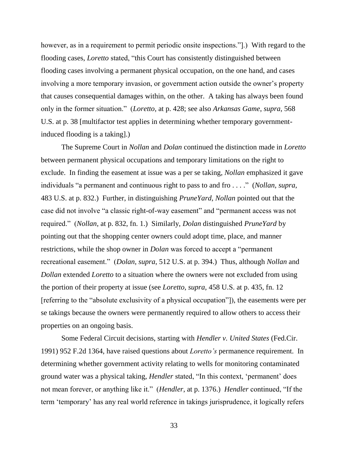however, as in a requirement to permit periodic onsite inspections.".) With regard to the flooding cases, *Loretto* stated, "this Court has consistently distinguished between flooding cases involving a permanent physical occupation, on the one hand, and cases involving a more temporary invasion, or government action outside the owner's property that causes consequential damages within, on the other. A taking has always been found only in the former situation.‖ (*Loretto*, at p. 428; see also *Arkansas Game*, *supra*, 568 U.S. at p. 38 [multifactor test applies in determining whether temporary governmentinduced flooding is a taking].)

The Supreme Court in *Nollan* and *Dolan* continued the distinction made in *Loretto*  between permanent physical occupations and temporary limitations on the right to exclude. In finding the easement at issue was a per se taking, *Nollan* emphasized it gave individuals "a permanent and continuous right to pass to and fro . . . ." (*Nollan*, *supra*, 483 U.S. at p. 832.) Further, in distinguishing *PruneYard*, *Nollan* pointed out that the case did not involve "a classic right-of-way easement" and "permanent access was not required.‖ (*Nollan*, at p. 832, fn. 1.) Similarly, *Dolan* distinguished *PruneYard* by pointing out that the shopping center owners could adopt time, place, and manner restrictions, while the shop owner in *Dolan* was forced to accept a "permanent" recreational easement.‖ (*Dolan*, *supra*, 512 U.S. at p. 394.) Thus, although *Nollan* and *Dollan* extended *Loretto* to a situation where the owners were not excluded from using the portion of their property at issue (see *Loretto*, *supra*, 458 U.S. at p. 435, fn. 12 [referring to the "absolute exclusivity of a physical occupation"]), the easements were per se takings because the owners were permanently required to allow others to access their properties on an ongoing basis.

Some Federal Circuit decisions, starting with *Hendler v. United States* (Fed.Cir. 1991) 952 F.2d 1364, have raised questions about *Loretto's* permanence requirement. In determining whether government activity relating to wells for monitoring contaminated ground water was a physical taking, *Hendler* stated, "In this context, 'permanent' does not mean forever, or anything like it." (*Hendler*, at p. 1376.) *Hendler* continued, "If the term 'temporary' has any real world reference in takings jurisprudence, it logically refers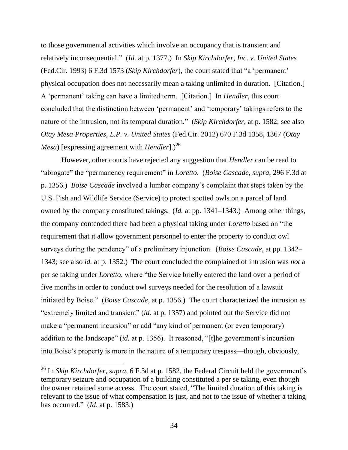to those governmental activities which involve an occupancy that is transient and relatively inconsequential.‖ (*Id.* at p. 1377.) In *Skip Kirchdorfer, Inc. v. United States* (Fed.Cir. 1993) 6 F.3d 1573 (*Skip Kirchdorfer*), the court stated that "a 'permanent' physical occupation does not necessarily mean a taking unlimited in duration. [Citation.] A ‗permanent' taking can have a limited term. [Citation.] In *Hendler,* this court concluded that the distinction between 'permanent' and 'temporary' takings refers to the nature of the intrusion, not its temporal duration." (*Skip Kirchdorfer*, at p. 1582; see also *Otay Mesa Properties, L.P. v. United States* (Fed.Cir. 2012) 670 F.3d 1358, 1367 (*Otay Mesa*) [expressing agreement with *Hendler*].)<sup>26</sup>

However, other courts have rejected any suggestion that *Hendler* can be read to "abrogate" the "permanency requirement" in *Loretto.* (*Boise Cascade*, *supra*, 296 F.3d at p. 1356.) *Boise Cascade* involved a lumber company's complaint that steps taken by the U.S. Fish and Wildlife Service (Service) to protect spotted owls on a parcel of land owned by the company constituted takings. (*Id.* at pp. 1341–1343.) Among other things, the company contended there had been a physical taking under *Loretto* based on "the requirement that it allow government personnel to enter the property to conduct owl surveys during the pendency" of a preliminary injunction. (*Boise Cascade*, at pp. 1342– 1343; see also *id.* at p. 1352.) The court concluded the complained of intrusion was *not* a per se taking under *Loretto*, where "the Service briefly entered the land over a period of five months in order to conduct owl surveys needed for the resolution of a lawsuit initiated by Boise." (*Boise Cascade*, at p. 1356.) The court characterized the intrusion as "extremely limited and transient" *(id.* at p. 1357) and pointed out the Service did not make a "permanent incursion" or add "any kind of permanent (or even temporary) addition to the landscape" (*id.* at p. 1356). It reasoned, "[t]he government's incursion into Boise's property is more in the nature of a temporary trespass—though, obviously,

<sup>26</sup> In *Skip Kirchdorfer*, *supra*, 6 F.3d at p. 1582, the Federal Circuit held the government's temporary seizure and occupation of a building constituted a per se taking, even though the owner retained some access. The court stated, "The limited duration of this taking is relevant to the issue of what compensation is just, and not to the issue of whether a taking has occurred." (*Id.* at p. 1583.)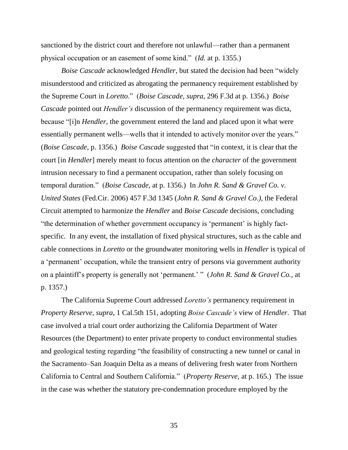sanctioned by the district court and therefore not unlawful—rather than a permanent physical occupation or an easement of some kind.‖ (*Id.* at p. 1355.)

*Boise Cascade* acknowledged *Hendler*, but stated the decision had been "widely misunderstood and criticized as abrogating the permanency requirement established by the Supreme Court in *Loretto*.‖ (*Boise Cascade*, *supra*, 296 F.3d at p. 1356.) *Boise Cascade* pointed out *Hendler's* discussion of the permanency requirement was dicta, because "[i]n *Hendler*, the government entered the land and placed upon it what were essentially permanent wells—wells that it intended to actively monitor over the years." (*Boise Cascade*, p. 1356.) *Boise Cascade* suggested that "in context, it is clear that the court [in *Hendler*] merely meant to focus attention on the *character* of the government intrusion necessary to find a permanent occupation, rather than solely focusing on temporal duration.‖ (*Boise Cascade*, at p. 1356.) In *John R. Sand & Gravel Co. v. United States* (Fed.Cir. 2006) 457 F.3d 1345 (*John R. Sand & Gravel Co.)*, the Federal Circuit attempted to harmonize the *Hendler* and *Boise Cascade* decisions, concluding ―the determination of whether government occupancy is ‗permanent' is highly factspecific. In any event, the installation of fixed physical structures, such as the cable and cable connections in *Loretto* or the groundwater monitoring wells in *Hendler* is typical of a 'permanent' occupation, while the transient entry of persons via government authority on a plaintiff's property is generally not 'permanent.' " (*John R. Sand & Gravel Co.*, at p. 1357.)

The California Supreme Court addressed *Loretto's* permanency requirement in *Property Reserve*, *supra*, 1 Cal.5th 151, adopting *Boise Cascade's* view of *Hendler*. That case involved a trial court order authorizing the California Department of Water Resources (the Department) to enter private property to conduct environmental studies and geological testing regarding "the feasibility of constructing a new tunnel or canal in the Sacramento–San Joaquin Delta as a means of delivering fresh water from Northern California to Central and Southern California.‖ (*Property Reserve,* at p. 165.) The issue in the case was whether the statutory pre-condemnation procedure employed by the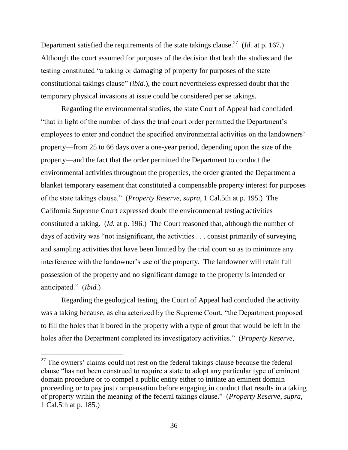Department satisfied the requirements of the state takings clause.<sup>27</sup> (*Id.* at p. 167.) Although the court assumed for purposes of the decision that both the studies and the testing constituted "a taking or damaging of property for purposes of the state constitutional takings clause" *(ibid.)*, the court nevertheless expressed doubt that the temporary physical invasions at issue could be considered per se takings.

Regarding the environmental studies, the state Court of Appeal had concluded "that in light of the number of days the trial court order permitted the Department's employees to enter and conduct the specified environmental activities on the landowners' property—from 25 to 66 days over a one-year period, depending upon the size of the property—and the fact that the order permitted the Department to conduct the environmental activities throughout the properties, the order granted the Department a blanket temporary easement that constituted a compensable property interest for purposes of the state takings clause.‖ (*Property Reserve, supra*, 1 Cal.5th at p. 195.) The California Supreme Court expressed doubt the environmental testing activities constituted a taking. (*Id.* at p. 196.) The Court reasoned that, although the number of days of activity was "not insignificant, the activities  $\dots$  consist primarily of surveying and sampling activities that have been limited by the trial court so as to minimize any interference with the landowner's use of the property. The landowner will retain full possession of the property and no significant damage to the property is intended or anticipated." (*Ibid.*)

Regarding the geological testing, the Court of Appeal had concluded the activity was a taking because, as characterized by the Supreme Court, "the Department proposed to fill the holes that it bored in the property with a type of grout that would be left in the holes after the Department completed its investigatory activities." (*Property Reserve*,

 $27$  The owners' claims could not rest on the federal takings clause because the federal clause "has not been construed to require a state to adopt any particular type of eminent domain procedure or to compel a public entity either to initiate an eminent domain proceeding or to pay just compensation before engaging in conduct that results in a taking of property within the meaning of the federal takings clause.‖ (*Property Reserve*, *supra*, 1 Cal.5th at p. 185.)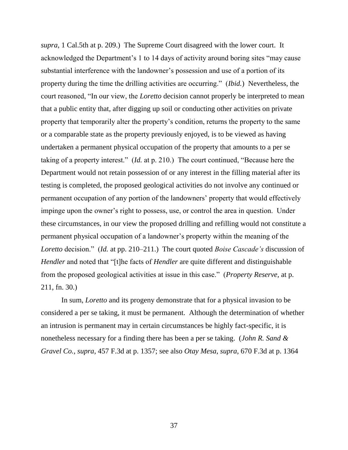*supra*, 1 Cal.5th at p. 209.) The Supreme Court disagreed with the lower court. It acknowledged the Department's 1 to 14 days of activity around boring sites "may cause substantial interference with the landowner's possession and use of a portion of its property during the time the drilling activities are occurring.‖ (*Ibid.*) Nevertheless, the court reasoned, "In our view, the *Loretto* decision cannot properly be interpreted to mean that a public entity that, after digging up soil or conducting other activities on private property that temporarily alter the property's condition, returns the property to the same or a comparable state as the property previously enjoyed, is to be viewed as having undertaken a permanent physical occupation of the property that amounts to a per se taking of a property interest."  $(Id.$  at p. 210.) The court continued, "Because here the Department would not retain possession of or any interest in the filling material after its testing is completed, the proposed geological activities do not involve any continued or permanent occupation of any portion of the landowners' property that would effectively impinge upon the owner's right to possess, use, or control the area in question. Under these circumstances, in our view the proposed drilling and refilling would not constitute a permanent physical occupation of a landowner's property within the meaning of the *Loretto* decision." (*Id.* at pp. 210–211.) The court quoted *Boise Cascade's* discussion of *Hendler* and noted that "[t]he facts of *Hendler* are quite different and distinguishable from the proposed geological activities at issue in this case.‖ (*Property Reserve,* at p. 211, fn. 30.)

In sum, *Loretto* and its progeny demonstrate that for a physical invasion to be considered a per se taking, it must be permanent. Although the determination of whether an intrusion is permanent may in certain circumstances be highly fact-specific, it is nonetheless necessary for a finding there has been a per se taking. (*John R. Sand & Gravel Co., supra*, 457 F.3d at p. 1357; see also *Otay Mesa*, *supra*, 670 F.3d at p. 1364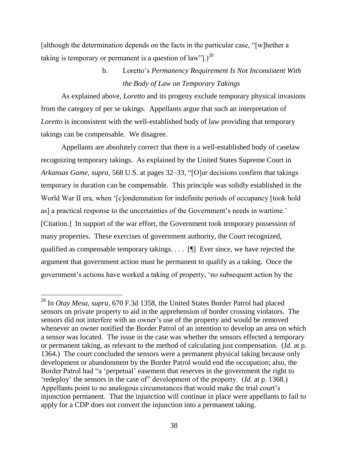[although the determination depends on the facts in the particular case, "[w]hether a taking is temporary or permanent is a question of law"].)<sup>28</sup>

## b. Loretto's *Permanency Requirement Is Not Inconsistent With the Body of Law on Temporary Takings*

As explained above, *Loretto* and its progeny exclude temporary physical invasions from the category of per se takings. Appellants argue that such an interpretation of *Loretto* is inconsistent with the well-established body of law providing that temporary takings can be compensable. We disagree.

Appellants are absolutely correct that there is a well-established body of caselaw recognizing temporary takings. As explained by the United States Supreme Court in *Arkansas Game, supra,* 568 U.S. at pages 32–33, "[O]ur decisions confirm that takings temporary in duration can be compensable. This principle was solidly established in the World War II era, when '[c]ondemnation for indefinite periods of occupancy [took hold as] a practical response to the uncertainties of the Government's needs in wartime.' [Citation.] In support of the war effort, the Government took temporary possession of many properties. These exercises of government authority, the Court recognized, qualified as compensable temporary takings. . . . [¶] Ever since, we have rejected the argument that government action must be permanent to qualify as a taking. Once the government's actions have worked a taking of property, ‗no subsequent action by the

<sup>28</sup> In *Otay Mesa, supra,* 670 F.3d 1358, the United States Border Patrol had placed sensors on private property to aid in the apprehension of border crossing violators. The sensors did not interfere with an owner's use of the property and would be removed whenever an owner notified the Border Patrol of an intention to develop an area on which a sensor was located. The issue in the case was whether the sensors effected a temporary or permanent taking, as relevant to the method of calculating just compensation. (*Id.* at p. 1364.) The court concluded the sensors were a permanent physical taking because only development or abandonment by the Border Patrol would end the occupation; also, the Border Patrol had "a 'perpetual' easement that reserves in the government the right to ‗redeploy' the sensors in the case of‖ development of the property. (*Id.* at p. 1368.) Appellants point to no analogous circumstances that would make the trial court's injunction permanent. That the injunction will continue in place were appellants to fail to apply for a CDP does not convert the injunction into a permanent taking.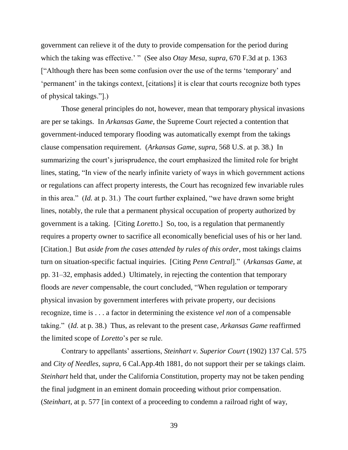government can relieve it of the duty to provide compensation for the period during which the taking was effective.' " (See also *Otay Mesa*, *supra*, 670 F.3d at p. 1363 ["Although there has been some confusion over the use of the terms 'temporary' and ‗permanent' in the takings context, [citations] it is clear that courts recognize both types of physical takings."[.]

Those general principles do not, however, mean that temporary physical invasions are per se takings. In *Arkansas Game*, the Supreme Court rejected a contention that government-induced temporary flooding was automatically exempt from the takings clause compensation requirement. (*Arkansas Game*, *supra*, 568 U.S. at p. 38.) In summarizing the court's jurisprudence, the court emphasized the limited role for bright lines, stating, "In view of the nearly infinite variety of ways in which government actions or regulations can affect property interests, the Court has recognized few invariable rules in this area."  $(Id.$  at p. 31.) The court further explained, "we have drawn some bright lines, notably, the rule that a permanent physical occupation of property authorized by government is a taking. [Citing *Loretto*.] So, too, is a regulation that permanently requires a property owner to sacrifice all economically beneficial uses of his or her land. [Citation.] But *aside from the cases attended by rules of this order*, most takings claims turn on situation-specific factual inquiries. [Citing *Penn Central*].‖ (*Arkansas Game*, at pp. 31–32, emphasis added.) Ultimately, in rejecting the contention that temporary floods are *never* compensable, the court concluded, "When regulation or temporary physical invasion by government interferes with private property, our decisions recognize, time is . . . a factor in determining the existence *vel non* of a compensable taking.‖ (*Id.* at p. 38.) Thus, as relevant to the present case, *Arkansas Game* reaffirmed the limited scope of *Loretto*'s per se rule.

Contrary to appellants' assertions, *Steinhart v. Superior Court* (1902) 137 Cal. 575 and *City of Needles*, *supra*, 6 Cal.App.4th 1881, do not support their per se takings claim. *Steinhart* held that, under the California Constitution, property may not be taken pending the final judgment in an eminent domain proceeding without prior compensation. (*Steinhart*, at p. 577 [in context of a proceeding to condemn a railroad right of way,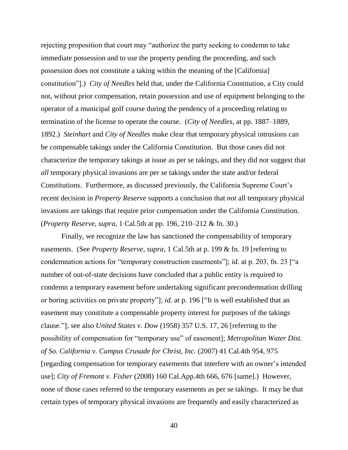rejecting proposition that court may "authorize the party seeking to condemn to take immediate possession and to use the property pending the proceeding, and such possession does not constitute a taking within the meaning of the [California] constitution‖].) *City of Needles* held that, under the California Constitution, a City could not, without prior compensation, retain possession and use of equipment belonging to the operator of a municipal golf course during the pendency of a proceeding relating to termination of the license to operate the course. (*City of Needles*, at pp. 1887–1889, 1892.) *Steinhart* and *City of Needles* make clear that temporary physical intrusions can be compensable takings under the California Constitution. But those cases did not characterize the temporary takings at issue as per se takings, and they did not suggest that *all* temporary physical invasions are per se takings under the state and/or federal Constitutions. Furthermore, as discussed previously, the California Supreme Court's recent decision in *Property Reserve* supports a conclusion that *not* all temporary physical invasions are takings that require prior compensation under the California Constitution. (*Property Reserve*, *supra*, 1 Cal.5th at pp. 196, 210–212 & fn. 30.)

Finally, we recognize the law has sanctioned the compensability of temporary easements. (See *Property Reserve*, *supra*, 1 Cal.5th at p. 199 & fn. 19 [referring to condemnation actions for "temporary construction easements"]; *id.* at p. 203, fn. 23 ["a number of out-of-state decisions have concluded that a public entity is required to condemn a temporary easement before undertaking significant precondemnation drilling or boring activities on private property"]; *id.* at p. 196 ["It is well established that an easement may constitute a compensable property interest for purposes of the takings clause.‖]; see also *United States v. Dow* (1958) 357 U.S. 17, 26 [referring to the possibility of compensation for "temporary use" of easement]; *Metropolitan Water Dist. of So. California v. Campus Crusade for Christ, Inc.* (2007) 41 Cal.4th 954, 975 [regarding compensation for temporary easements that interfere with an owner's intended use]; *City of Fremont v. Fisher* (2008) 160 Cal.App.4th 666, 676 [same].) However, none of those cases referred to the temporary easements as per se takings. It may be that certain types of temporary physical invasions are frequently and easily characterized as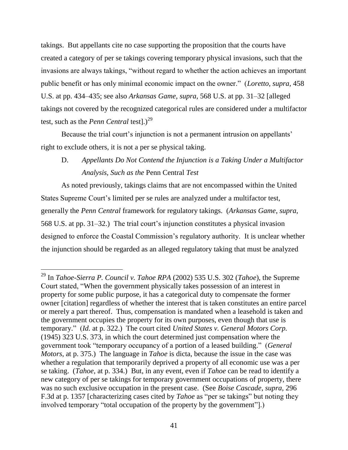takings. But appellants cite no case supporting the proposition that the courts have created a category of per se takings covering temporary physical invasions, such that the invasions are always takings, "without regard to whether the action achieves an important public benefit or has only minimal economic impact on the owner.‖ (*Loretto*, *supra*, 458 U.S. at pp. 434–435; see also *Arkansas Game*, *supra*, 568 U.S. at pp. 31–32 [alleged takings not covered by the recognized categorical rules are considered under a multifactor test, such as the *Penn Central* testl.)<sup>29</sup>

Because the trial court's injunction is not a permanent intrusion on appellants' right to exclude others, it is not a per se physical taking.

## D. *Appellants Do Not Contend the Injunction is a Taking Under a Multifactor Analysis, Such as the* Penn Central *Test*

As noted previously, takings claims that are not encompassed within the United States Supreme Court's limited per se rules are analyzed under a multifactor test, generally the *Penn Central* framework for regulatory takings. (*Arkansas Game*, *supra*, 568 U.S. at pp. 31–32.) The trial court's injunction constitutes a physical invasion designed to enforce the Coastal Commission's regulatory authority. It is unclear whether the injunction should be regarded as an alleged regulatory taking that must be analyzed

 $\overline{a}$ 

<sup>29</sup> In *Tahoe-Sierra P. Council v. Tahoe RPA* (2002) 535 U.S. 302 (*Tahoe*), the Supreme Court stated, "When the government physically takes possession of an interest in property for some public purpose, it has a categorical duty to compensate the former owner [citation] regardless of whether the interest that is taken constitutes an entire parcel or merely a part thereof. Thus, compensation is mandated when a leasehold is taken and the government occupies the property for its own purposes, even though that use is temporary.‖ (*Id.* at p. 322.) The court cited *United States v. General Motors Corp.* (1945) 323 U.S. 373, in which the court determined just compensation where the government took "temporary occupancy of a portion of a leased building." (*General Motors*, at p. 375.) The language in *Tahoe* is dicta, because the issue in the case was whether a regulation that temporarily deprived a property of all economic use was a per se taking. (*Tahoe*, at p. 334.) But, in any event, even if *Tahoe* can be read to identify a new category of per se takings for temporary government occupations of property, there was no such exclusive occupation in the present case. (See *Boise Cascade*, *supra*, 296 F.3d at p. 1357 [characterizing cases cited by *Tahoe* as "per se takings" but noting they involved temporary "total occupation of the property by the government"].)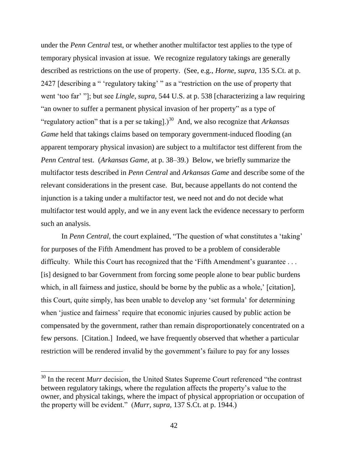under the *Penn Central* test, or whether another multifactor test applies to the type of temporary physical invasion at issue. We recognize regulatory takings are generally described as restrictions on the use of property. (See, e.g., *Horne*, *supra*, 135 S.Ct. at p. 2427 [describing a " 'regulatory taking' " as a "restriction on the use of property that went ‗too far' ‖]; but see *Lingle*, *supra*, 544 U.S. at p. 538 [characterizing a law requiring "an owner to suffer a permanent physical invasion of her property" as a type of "regulatory action" that is a per se taking].<sup>30</sup> And, we also recognize that *Arkansas Game* held that takings claims based on temporary government-induced flooding (an apparent temporary physical invasion) are subject to a multifactor test different from the *Penn Central* test. (*Arkansas Game*, at p. 38–39.) Below, we briefly summarize the multifactor tests described in *Penn Central* and *Arkansas Game* and describe some of the relevant considerations in the present case. But, because appellants do not contend the injunction is a taking under a multifactor test, we need not and do not decide what multifactor test would apply, and we in any event lack the evidence necessary to perform such an analysis.

In *Penn Central*, the court explained, "The question of what constitutes a 'taking' for purposes of the Fifth Amendment has proved to be a problem of considerable difficulty. While this Court has recognized that the 'Fifth Amendment's guarantee ... [is] designed to bar Government from forcing some people alone to bear public burdens which, in all fairness and justice, should be borne by the public as a whole,' [citation], this Court, quite simply, has been unable to develop any ‗set formula' for determining when 'justice and fairness' require that economic injuries caused by public action be compensated by the government, rather than remain disproportionately concentrated on a few persons. [Citation.] Indeed, we have frequently observed that whether a particular restriction will be rendered invalid by the government's failure to pay for any losses

 $30$  In the recent *Murr* decision, the United States Supreme Court referenced "the contrast" between regulatory takings, where the regulation affects the property's value to the owner, and physical takings, where the impact of physical appropriation or occupation of the property will be evident.‖ (*Murr, supra,* 137 S.Ct. at p. 1944.)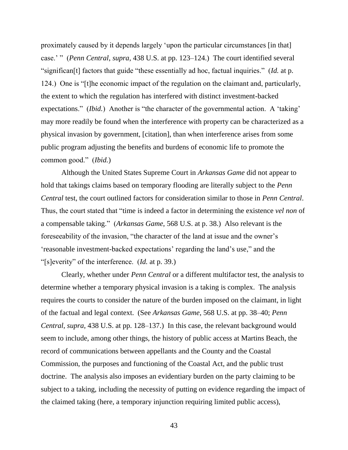proximately caused by it depends largely 'upon the particular circumstances [in that] case.' " (*Penn Central, supra,* 438 U.S. at pp. 123–124.) The court identified several "significan<sup>[t]</sup> factors that guide "these essentially ad hoc, factual inquiries." (*Id.* at p. 124.) One is "[t]he economic impact of the regulation on the claimant and, particularly, the extent to which the regulation has interfered with distinct investment-backed expectations." *(Ibid.)* Another is "the character of the governmental action. A 'taking' may more readily be found when the interference with property can be characterized as a physical invasion by government, [citation], than when interference arises from some public program adjusting the benefits and burdens of economic life to promote the common good.‖ (*Ibid.*)

Although the United States Supreme Court in *Arkansas Game* did not appear to hold that takings claims based on temporary flooding are literally subject to the *Penn Central* test, the court outlined factors for consideration similar to those in *Penn Central*. Thus, the court stated that "time is indeed a factor in determining the existence *vel non* of a compensable taking.‖ (*Arkansas Game*, 568 U.S. at p. 38.) Also relevant is the foreseeability of the invasion, "the character of the land at issue and the owner's 'reasonable investment-backed expectations' regarding the land's use," and the ―[s]everity‖ of the interference. (*Id.* at p. 39.)

Clearly, whether under *Penn Central* or a different multifactor test, the analysis to determine whether a temporary physical invasion is a taking is complex. The analysis requires the courts to consider the nature of the burden imposed on the claimant, in light of the factual and legal context. (See *Arkansas Game*, 568 U.S. at pp. 38–40; *Penn Central*, *supra*, 438 U.S. at pp. 128–137.) In this case, the relevant background would seem to include, among other things, the history of public access at Martins Beach, the record of communications between appellants and the County and the Coastal Commission, the purposes and functioning of the Coastal Act, and the public trust doctrine. The analysis also imposes an evidentiary burden on the party claiming to be subject to a taking, including the necessity of putting on evidence regarding the impact of the claimed taking (here, a temporary injunction requiring limited public access),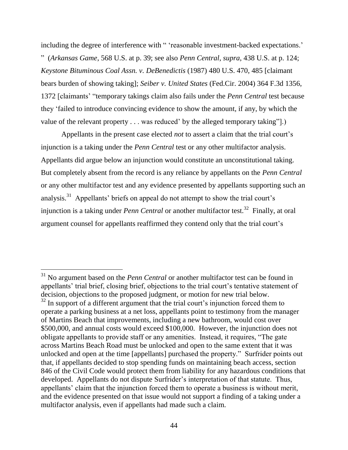including the degree of interference with " 'reasonable investment-backed expectations.' ‖ (*Arkansas Game*, 568 U.S. at p. 39; see also *Penn Central*, *supra*, 438 U.S. at p. 124; *Keystone Bituminous Coal Assn. v. DeBenedictis* (1987) 480 U.S. 470, 485 [claimant bears burden of showing taking]; *Seiber v. United States* (Fed.Cir. 2004) 364 F.3d 1356, 1372 [claimants' "temporary takings claim also fails under the *Penn Central* test because they ‗failed to introduce convincing evidence to show the amount, if any, by which the value of the relevant property . . . was reduced' by the alleged temporary taking".)

Appellants in the present case elected *not* to assert a claim that the trial court's injunction is a taking under the *Penn Central* test or any other multifactor analysis. Appellants did argue below an injunction would constitute an unconstitutional taking. But completely absent from the record is any reliance by appellants on the *Penn Central* or any other multifactor test and any evidence presented by appellants supporting such an analysis.<sup>31</sup> Appellants' briefs on appeal do not attempt to show the trial court's injunction is a taking under *Penn Central* or another multifactor test.<sup>32</sup> Finally, at oral argument counsel for appellants reaffirmed they contend only that the trial court's

 $\overline{a}$ 

<sup>&</sup>lt;sup>31</sup> No argument based on the *Penn Central* or another multifactor test can be found in appellants' trial brief, closing brief, objections to the trial court's tentative statement of decision, objections to the proposed judgment, or motion for new trial below.  $32$  In support of a different argument that the trial court's injunction forced them to operate a parking business at a net loss, appellants point to testimony from the manager of Martins Beach that improvements, including a new bathroom, would cost over \$500,000, and annual costs would exceed \$100,000. However, the injunction does not obligate appellants to provide staff or any amenities. Instead, it requires, "The gate across Martins Beach Road must be unlocked and open to the same extent that it was unlocked and open at the time [appellants] purchased the property." Surfrider points out that, if appellants decided to stop spending funds on maintaining beach access, section 846 of the Civil Code would protect them from liability for any hazardous conditions that developed. Appellants do not dispute Surfrider's interpretation of that statute. Thus, appellants' claim that the injunction forced them to operate a business is without merit, and the evidence presented on that issue would not support a finding of a taking under a multifactor analysis, even if appellants had made such a claim.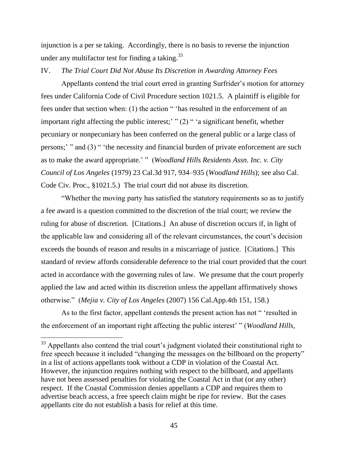injunction is a per se taking. Accordingly, there is no basis to reverse the injunction under any multifactor test for finding a taking.<sup>33</sup>

#### IV. *The Trial Court Did Not Abuse Its Discretion in Awarding Attorney Fees*

Appellants contend the trial court erred in granting Surfrider's motion for attorney fees under California Code of Civil Procedure section 1021.5. A plaintiff is eligible for fees under that section when: (1) the action " 'has resulted in the enforcement of an important right affecting the public interest;' " $(2)$ " 'a significant benefit, whether pecuniary or nonpecuniary has been conferred on the general public or a large class of persons;' " and (3) " 'the necessity and financial burden of private enforcement are such as to make the award appropriate.' " (*Woodland Hills Residents Assn. Inc. v. City Council of Los Angeles* (1979) 23 Cal.3d 917, 934–935 (*Woodland Hills*); see also Cal. Code Civ. Proc., §1021.5.) The trial court did not abuse its discretion.

―Whether the moving party has satisfied the statutory requirements so as to justify a fee award is a question committed to the discretion of the trial court; we review the ruling for abuse of discretion. [Citations.] An abuse of discretion occurs if, in light of the applicable law and considering all of the relevant circumstances, the court's decision exceeds the bounds of reason and results in a miscarriage of justice. [Citations.] This standard of review affords considerable deference to the trial court provided that the court acted in accordance with the governing rules of law. We presume that the court properly applied the law and acted within its discretion unless the appellant affirmatively shows otherwise.‖ (*Mejia v. City of Los Angeles* (2007) 156 Cal.App.4th 151, 158.)

As to the first factor, appellant contends the present action has not "esulted in the enforcement of an important right affecting the public interest' " (*Woodland Hills*,

 $\overline{a}$ 

 $33$  Appellants also contend the trial court's judgment violated their constitutional right to free speech because it included "changing the messages on the billboard on the property" in a list of actions appellants took without a CDP in violation of the Coastal Act. However, the injunction requires nothing with respect to the billboard, and appellants have not been assessed penalties for violating the Coastal Act in that (or any other) respect. If the Coastal Commission denies appellants a CDP and requires them to advertise beach access, a free speech claim might be ripe for review. But the cases appellants cite do not establish a basis for relief at this time.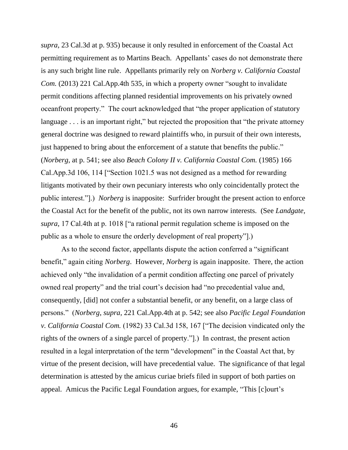*supra*, 23 Cal.3d at p. 935) because it only resulted in enforcement of the Coastal Act permitting requirement as to Martins Beach. Appellants' cases do not demonstrate there is any such bright line rule. Appellants primarily rely on *Norberg v. California Coastal Com.* (2013) 221 Cal.App.4th 535, in which a property owner "sought to invalidate permit conditions affecting planned residential improvements on his privately owned oceanfront property." The court acknowledged that "the proper application of statutory language  $\ldots$  is an important right," but rejected the proposition that "the private attorney general doctrine was designed to reward plaintiffs who, in pursuit of their own interests, just happened to bring about the enforcement of a statute that benefits the public." (*Norberg*, at p. 541; see also *Beach Colony II v. California Coastal Com.* (1985) 166 Cal.App.3d 106, 114 ["Section 1021.5 was not designed as a method for rewarding litigants motivated by their own pecuniary interests who only coincidentally protect the public interest.‖].) *Norberg* is inapposite: Surfrider brought the present action to enforce the Coastal Act for the benefit of the public, not its own narrow interests. (See *Landgate, supra*, 17 Cal.4th at p. 1018 ["a rational permit regulation scheme is imposed on the public as a whole to ensure the orderly development of real property‖].)

As to the second factor, appellants dispute the action conferred a "significant" benefit," again citing *Norberg*. However, *Norberg* is again inapposite. There, the action achieved only "the invalidation of a permit condition affecting one parcel of privately owned real property" and the trial court's decision had "no precedential value and, consequently, [did] not confer a substantial benefit, or any benefit, on a large class of persons.‖ (*Norberg*, *supra*, 221 Cal.App.4th at p. 542; see also *Pacific Legal Foundation v. California Coastal Com.* (1982) 33 Cal.3d 158, 167 ["The decision vindicated only the rights of the owners of a single parcel of property.‖].) In contrast, the present action resulted in a legal interpretation of the term "development" in the Coastal Act that, by virtue of the present decision, will have precedential value. The significance of that legal determination is attested by the amicus curiae briefs filed in support of both parties on appeal. Amicus the Pacific Legal Foundation argues, for example, "This [c]ourt's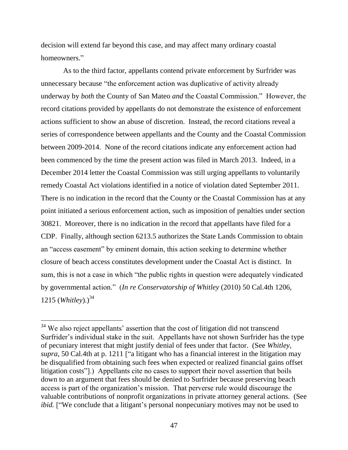decision will extend far beyond this case, and may affect many ordinary coastal homeowners."

As to the third factor, appellants contend private enforcement by Surfrider was unnecessary because "the enforcement action was duplicative of activity already underway by *both* the County of San Mateo *and* the Coastal Commission." However, the record citations provided by appellants do not demonstrate the existence of enforcement actions sufficient to show an abuse of discretion. Instead, the record citations reveal a series of correspondence between appellants and the County and the Coastal Commission between 2009-2014. None of the record citations indicate any enforcement action had been commenced by the time the present action was filed in March 2013. Indeed, in a December 2014 letter the Coastal Commission was still urging appellants to voluntarily remedy Coastal Act violations identified in a notice of violation dated September 2011. There is no indication in the record that the County or the Coastal Commission has at any point initiated a serious enforcement action, such as imposition of penalties under section 30821. Moreover, there is no indication in the record that appellants have filed for a CDP. Finally, although section 6213.5 authorizes the State Lands Commission to obtain an "access easement" by eminent domain, this action seeking to determine whether closure of beach access constitutes development under the Coastal Act is distinct. In sum, this is not a case in which "the public rights in question were adequately vindicated by governmental action.‖ (*In re Conservatorship of Whitley* (2010) 50 Cal.4th 1206, 1215 (*Whitley*).)<sup>34</sup>

 $\overline{a}$ 

 $34$  We also reject appellants' assertion that the cost of litigation did not transcend Surfrider's individual stake in the suit. Appellants have not shown Surfrider has the type of pecuniary interest that might justify denial of fees under that factor. (See *Whitley*, *supra*, 50 Cal.4th at p. 1211 ["a litigant who has a financial interest in the litigation may be disqualified from obtaining such fees when expected or realized financial gains offset litigation costs"].) Appellants cite no cases to support their novel assertion that boils down to an argument that fees should be denied to Surfrider because preserving beach access is part of the organization's mission. That perverse rule would discourage the valuable contributions of nonprofit organizations in private attorney general actions. (See *ibid.* ["We conclude that a litigant's personal nonpecuniary motives may not be used to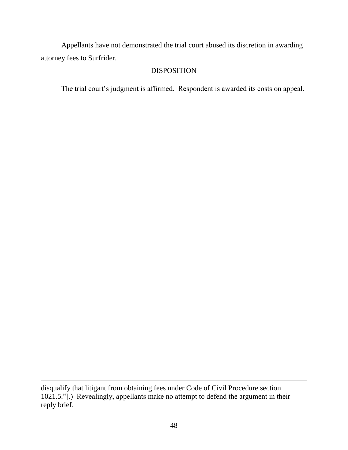Appellants have not demonstrated the trial court abused its discretion in awarding attorney fees to Surfrider.

### DISPOSITION

The trial court's judgment is affirmed. Respondent is awarded its costs on appeal.

disqualify that litigant from obtaining fees under Code of Civil Procedure section  $1021.5$ ."].) Revealingly, appellants make no attempt to defend the argument in their reply brief.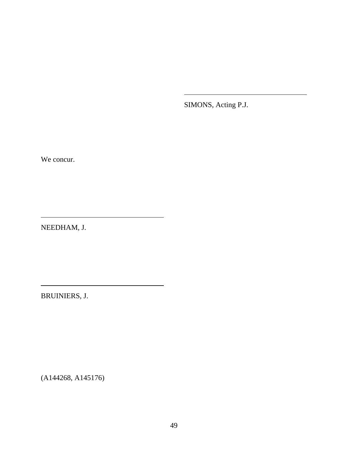SIMONS, Acting P.J.

We concur.

NEEDHAM, J.

BRUINIERS, J.

(A144268, A145176)